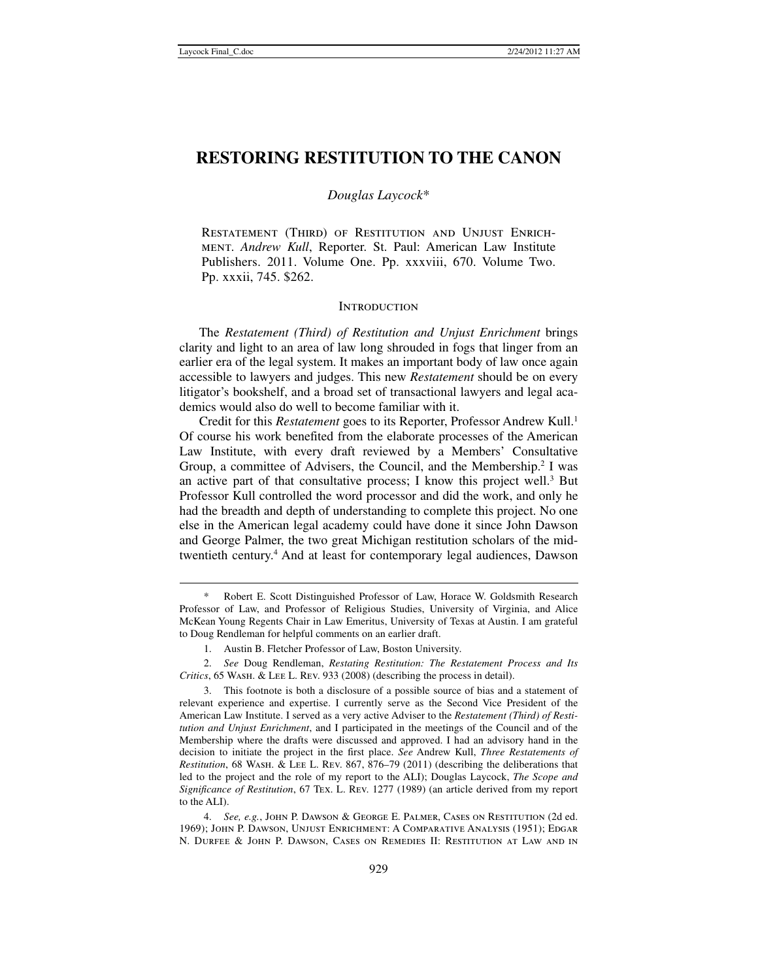# **RESTORING RESTITUTION TO THE CANON**

# *Douglas Laycock*\*

Restatement (Third) of Restitution and Unjust Enrichment. *Andrew Kull*, Reporter. St. Paul: American Law Institute Publishers. 2011. Volume One. Pp. xxxviii, 670. Volume Two. Pp. xxxii, 745. \$262.

### **INTRODUCTION**

The *Restatement (Third) of Restitution and Unjust Enrichment* brings clarity and light to an area of law long shrouded in fogs that linger from an earlier era of the legal system. It makes an important body of law once again accessible to lawyers and judges. This new *Restatement* should be on every litigator's bookshelf, and a broad set of transactional lawyers and legal academics would also do well to become familiar with it.

Credit for this *Restatement* goes to its Reporter, Professor Andrew Kull.<sup>1</sup> Of course his work benefited from the elaborate processes of the American Law Institute, with every draft reviewed by a Members' Consultative Group, a committee of Advisers, the Council, and the Membership.<sup>2</sup> I was an active part of that consultative process; I know this project well.<sup>3</sup> But Professor Kull controlled the word processor and did the work, and only he had the breadth and depth of understanding to complete this project. No one else in the American legal academy could have done it since John Dawson and George Palmer, the two great Michigan restitution scholars of the midtwentieth century.<sup>4</sup> And at least for contemporary legal audiences, Dawson

 <sup>\*</sup> Robert E. Scott Distinguished Professor of Law, Horace W. Goldsmith Research Professor of Law, and Professor of Religious Studies, University of Virginia, and Alice McKean Young Regents Chair in Law Emeritus, University of Texas at Austin. I am grateful to Doug Rendleman for helpful comments on an earlier draft.

 <sup>1.</sup> Austin B. Fletcher Professor of Law, Boston University.

 <sup>2.</sup> *See* Doug Rendleman, *Restating Restitution: The Restatement Process and Its Critics*, 65 Wash. & Lee L. Rev. 933 (2008) (describing the process in detail).

 <sup>3.</sup> This footnote is both a disclosure of a possible source of bias and a statement of relevant experience and expertise. I currently serve as the Second Vice President of the American Law Institute. I served as a very active Adviser to the *Restatement (Third) of Restitution and Unjust Enrichment*, and I participated in the meetings of the Council and of the Membership where the drafts were discussed and approved. I had an advisory hand in the decision to initiate the project in the first place. *See* Andrew Kull, *Three Restatements of Restitution*, 68 Wash. & Lee L. Rev. 867, 876–79 (2011) (describing the deliberations that led to the project and the role of my report to the ALI); Douglas Laycock, *The Scope and Significance of Restitution*, 67 Tex. L. Rev. 1277 (1989) (an article derived from my report to the ALI).

 <sup>4.</sup> *See, e.g.*, John P. Dawson & George E. Palmer, Cases on Restitution (2d ed. 1969); John P. Dawson, Unjust Enrichment: A Comparative Analysis (1951); Edgar N. Durfee & John P. Dawson, Cases on Remedies II: Restitution at Law and in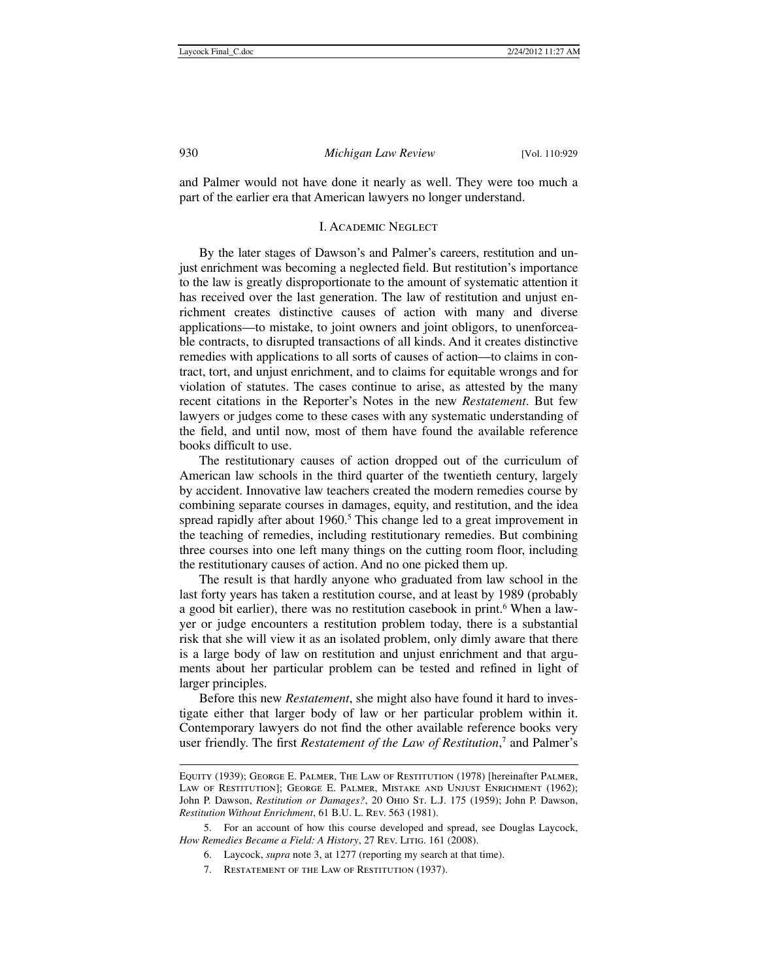and Palmer would not have done it nearly as well. They were too much a part of the earlier era that American lawyers no longer understand.

### I. Academic Neglect

By the later stages of Dawson's and Palmer's careers, restitution and unjust enrichment was becoming a neglected field. But restitution's importance to the law is greatly disproportionate to the amount of systematic attention it has received over the last generation. The law of restitution and unjust enrichment creates distinctive causes of action with many and diverse applications—to mistake, to joint owners and joint obligors, to unenforceable contracts, to disrupted transactions of all kinds. And it creates distinctive remedies with applications to all sorts of causes of action—to claims in contract, tort, and unjust enrichment, and to claims for equitable wrongs and for violation of statutes. The cases continue to arise, as attested by the many recent citations in the Reporter's Notes in the new *Restatement*. But few lawyers or judges come to these cases with any systematic understanding of the field, and until now, most of them have found the available reference books difficult to use.

The restitutionary causes of action dropped out of the curriculum of American law schools in the third quarter of the twentieth century, largely by accident. Innovative law teachers created the modern remedies course by combining separate courses in damages, equity, and restitution, and the idea spread rapidly after about 1960.<sup>5</sup> This change led to a great improvement in the teaching of remedies, including restitutionary remedies. But combining three courses into one left many things on the cutting room floor, including the restitutionary causes of action. And no one picked them up.

The result is that hardly anyone who graduated from law school in the last forty years has taken a restitution course, and at least by 1989 (probably a good bit earlier), there was no restitution casebook in print.<sup>6</sup> When a lawyer or judge encounters a restitution problem today, there is a substantial risk that she will view it as an isolated problem, only dimly aware that there is a large body of law on restitution and unjust enrichment and that arguments about her particular problem can be tested and refined in light of larger principles.

Before this new *Restatement*, she might also have found it hard to investigate either that larger body of law or her particular problem within it. Contemporary lawyers do not find the other available reference books very user friendly. The first *Restatement of the Law of Restitution*, 7 and Palmer's

7. Restatement of the Law of Restitution (1937).

<sup>1</sup> Equity (1939); George E. Palmer, The Law of Restitution (1978) [hereinafter Palmer, LAW OF RESTITUTION]; GEORGE E. PALMER, MISTAKE AND UNJUST ENRICHMENT (1962); John P. Dawson, *Restitution or Damages?*, 20 Ohio St. L.J. 175 (1959); John P. Dawson, *Restitution Without Enrichment*, 61 B.U. L. Rev. 563 (1981).

 <sup>5.</sup> For an account of how this course developed and spread, see Douglas Laycock, How Remedies Became a Field: A History, 27 Rev. LITIG. 161 (2008).

 <sup>6.</sup> Laycock, *supra* note 3, at 1277 (reporting my search at that time).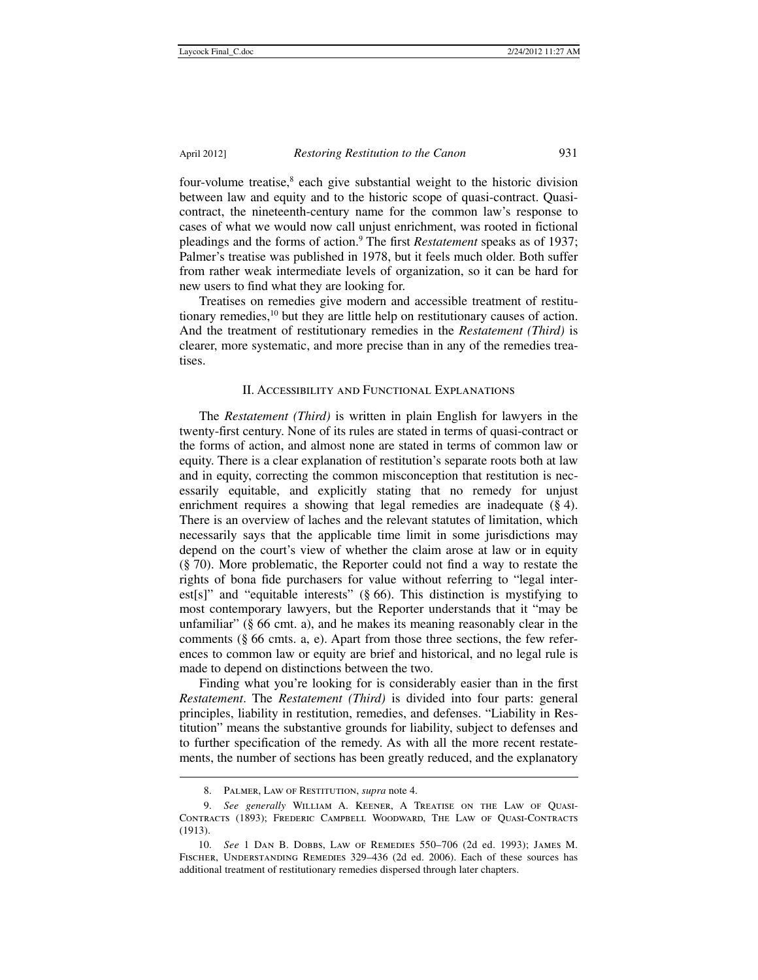four-volume treatise,<sup>8</sup> each give substantial weight to the historic division between law and equity and to the historic scope of quasi-contract. Quasicontract, the nineteenth-century name for the common law's response to cases of what we would now call unjust enrichment, was rooted in fictional pleadings and the forms of action.9 The first *Restatement* speaks as of 1937; Palmer's treatise was published in 1978, but it feels much older. Both suffer from rather weak intermediate levels of organization, so it can be hard for new users to find what they are looking for.

Treatises on remedies give modern and accessible treatment of restitutionary remedies,10 but they are little help on restitutionary causes of action. And the treatment of restitutionary remedies in the *Restatement (Third)* is clearer, more systematic, and more precise than in any of the remedies treatises.

## II. Accessibility and Functional Explanations

The *Restatement (Third)* is written in plain English for lawyers in the twenty-first century. None of its rules are stated in terms of quasi-contract or the forms of action, and almost none are stated in terms of common law or equity. There is a clear explanation of restitution's separate roots both at law and in equity, correcting the common misconception that restitution is necessarily equitable, and explicitly stating that no remedy for unjust enrichment requires a showing that legal remedies are inadequate  $(\S 4)$ . There is an overview of laches and the relevant statutes of limitation, which necessarily says that the applicable time limit in some jurisdictions may depend on the court's view of whether the claim arose at law or in equity (§ 70). More problematic, the Reporter could not find a way to restate the rights of bona fide purchasers for value without referring to "legal interest[s]" and "equitable interests"  $(\S 66)$ . This distinction is mystifying to most contemporary lawyers, but the Reporter understands that it "may be unfamiliar" (§ 66 cmt. a), and he makes its meaning reasonably clear in the comments (§ 66 cmts. a, e). Apart from those three sections, the few references to common law or equity are brief and historical, and no legal rule is made to depend on distinctions between the two.

Finding what you're looking for is considerably easier than in the first *Restatement*. The *Restatement (Third)* is divided into four parts: general principles, liability in restitution, remedies, and defenses. "Liability in Restitution" means the substantive grounds for liability, subject to defenses and to further specification of the remedy. As with all the more recent restatements, the number of sections has been greatly reduced, and the explanatory

 <sup>8.</sup> Palmer, Law of Restitution, *supra* note 4.

 <sup>9.</sup> *See generally* William A. Keener, A Treatise on the Law of Quasi-Contracts (1893); Frederic Campbell Woodward, The Law of Quasi-Contracts (1913).

 <sup>10.</sup> *See* 1 Dan B. Dobbs, Law of Remedies 550–706 (2d ed. 1993); James M. Fischer, Understanding Remedies 329–436 (2d ed. 2006). Each of these sources has additional treatment of restitutionary remedies dispersed through later chapters.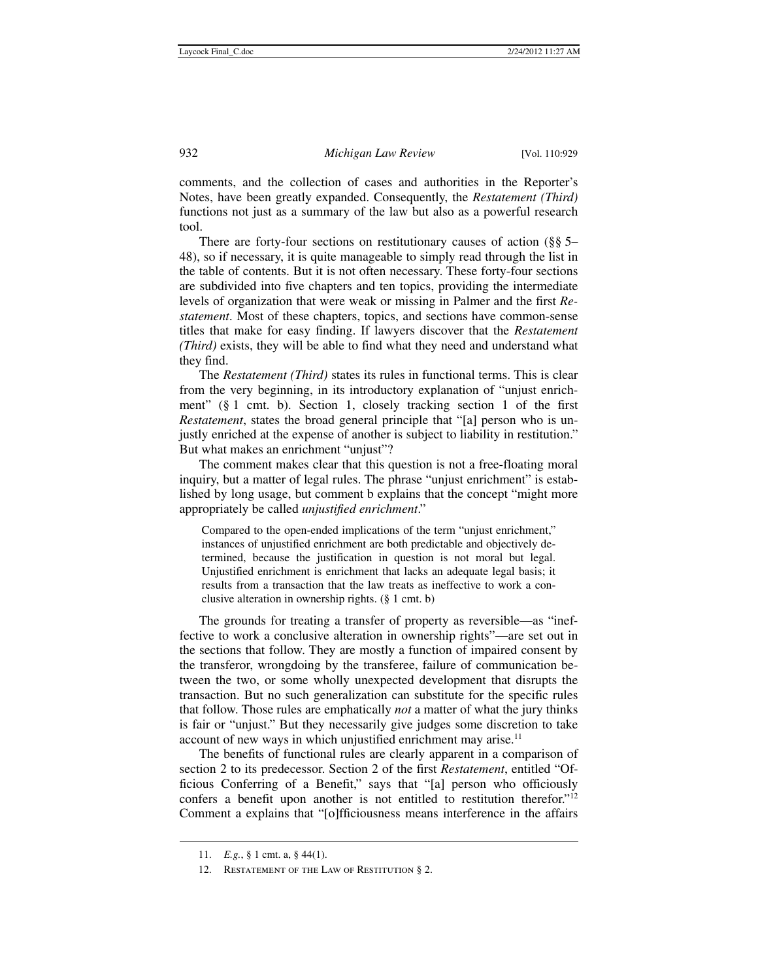comments, and the collection of cases and authorities in the Reporter's Notes, have been greatly expanded. Consequently, the *Restatement (Third)* functions not just as a summary of the law but also as a powerful research tool.

There are forty-four sections on restitutionary causes of action (§§ 5– 48), so if necessary, it is quite manageable to simply read through the list in the table of contents. But it is not often necessary. These forty-four sections are subdivided into five chapters and ten topics, providing the intermediate levels of organization that were weak or missing in Palmer and the first *Restatement*. Most of these chapters, topics, and sections have common-sense titles that make for easy finding. If lawyers discover that the *Restatement (Third)* exists, they will be able to find what they need and understand what they find.

The *Restatement (Third)* states its rules in functional terms. This is clear from the very beginning, in its introductory explanation of "unjust enrichment" (§ 1 cmt. b). Section 1, closely tracking section 1 of the first *Restatement*, states the broad general principle that "[a] person who is unjustly enriched at the expense of another is subject to liability in restitution." But what makes an enrichment "unjust"?

The comment makes clear that this question is not a free-floating moral inquiry, but a matter of legal rules. The phrase "unjust enrichment" is established by long usage, but comment b explains that the concept "might more appropriately be called *unjustified enrichment*."

Compared to the open-ended implications of the term "unjust enrichment," instances of unjustified enrichment are both predictable and objectively determined, because the justification in question is not moral but legal. Unjustified enrichment is enrichment that lacks an adequate legal basis; it results from a transaction that the law treats as ineffective to work a conclusive alteration in ownership rights. (§ 1 cmt. b)

The grounds for treating a transfer of property as reversible—as "ineffective to work a conclusive alteration in ownership rights"—are set out in the sections that follow. They are mostly a function of impaired consent by the transferor, wrongdoing by the transferee, failure of communication between the two, or some wholly unexpected development that disrupts the transaction. But no such generalization can substitute for the specific rules that follow. Those rules are emphatically *not* a matter of what the jury thinks is fair or "unjust." But they necessarily give judges some discretion to take account of new ways in which unjustified enrichment may arise.<sup>11</sup>

The benefits of functional rules are clearly apparent in a comparison of section 2 to its predecessor. Section 2 of the first *Restatement*, entitled "Officious Conferring of a Benefit," says that "[a] person who officiously confers a benefit upon another is not entitled to restitution therefor."12 Comment a explains that "[o]fficiousness means interference in the affairs

 <sup>11.</sup> *E.g.*, § 1 cmt. a, § 44(1).

<sup>12.</sup> RESTATEMENT OF THE LAW OF RESTITUTION § 2.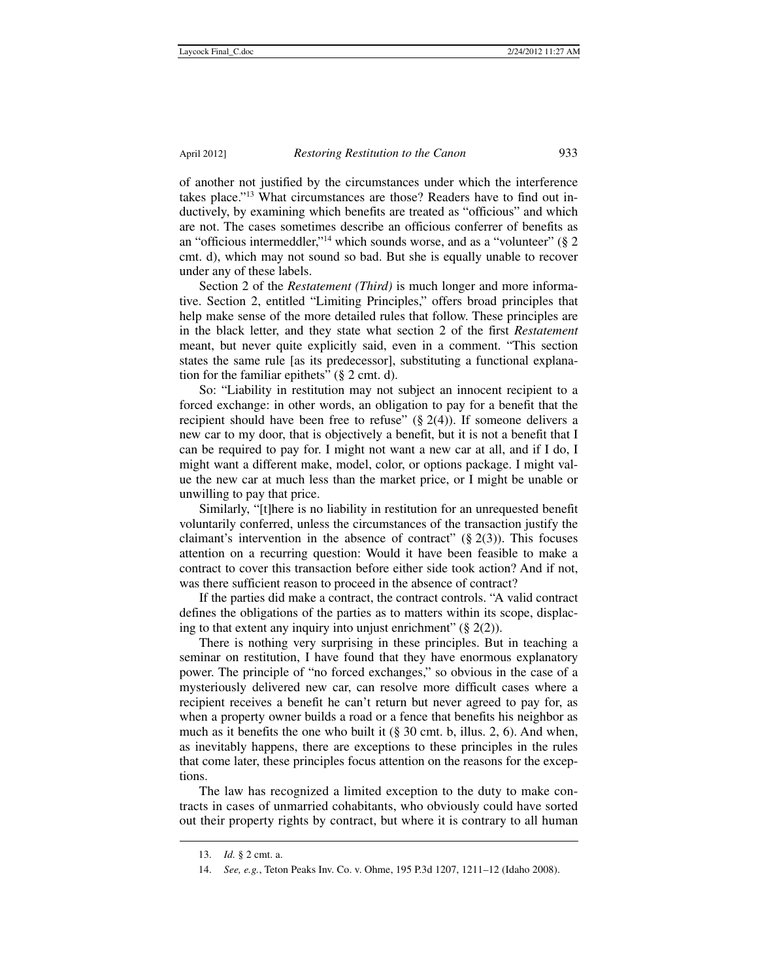of another not justified by the circumstances under which the interference takes place."13 What circumstances are those? Readers have to find out inductively, by examining which benefits are treated as "officious" and which are not. The cases sometimes describe an officious conferrer of benefits as an "officious intermeddler,"14 which sounds worse, and as a "volunteer" (§ 2 cmt. d), which may not sound so bad. But she is equally unable to recover under any of these labels.

Section 2 of the *Restatement (Third)* is much longer and more informative. Section 2, entitled "Limiting Principles," offers broad principles that help make sense of the more detailed rules that follow. These principles are in the black letter, and they state what section 2 of the first *Restatement* meant, but never quite explicitly said, even in a comment. "This section states the same rule [as its predecessor], substituting a functional explanation for the familiar epithets" (§ 2 cmt. d).

So: "Liability in restitution may not subject an innocent recipient to a forced exchange: in other words, an obligation to pay for a benefit that the recipient should have been free to refuse"  $(\S 2(4))$ . If someone delivers a new car to my door, that is objectively a benefit, but it is not a benefit that I can be required to pay for. I might not want a new car at all, and if I do, I might want a different make, model, color, or options package. I might value the new car at much less than the market price, or I might be unable or unwilling to pay that price.

Similarly, "[t]here is no liability in restitution for an unrequested benefit voluntarily conferred, unless the circumstances of the transaction justify the claimant's intervention in the absence of contract"  $(\S 2(3))$ . This focuses attention on a recurring question: Would it have been feasible to make a contract to cover this transaction before either side took action? And if not, was there sufficient reason to proceed in the absence of contract?

If the parties did make a contract, the contract controls. "A valid contract defines the obligations of the parties as to matters within its scope, displacing to that extent any inquiry into unjust enrichment"  $(\S 2(2))$ .

There is nothing very surprising in these principles. But in teaching a seminar on restitution, I have found that they have enormous explanatory power. The principle of "no forced exchanges," so obvious in the case of a mysteriously delivered new car, can resolve more difficult cases where a recipient receives a benefit he can't return but never agreed to pay for, as when a property owner builds a road or a fence that benefits his neighbor as much as it benefits the one who built it (§ 30 cmt. b, illus. 2, 6). And when, as inevitably happens, there are exceptions to these principles in the rules that come later, these principles focus attention on the reasons for the exceptions.

The law has recognized a limited exception to the duty to make contracts in cases of unmarried cohabitants, who obviously could have sorted out their property rights by contract, but where it is contrary to all human

 <sup>13.</sup> *Id.* § 2 cmt. a.

 <sup>14.</sup> *See, e.g.*, Teton Peaks Inv. Co. v. Ohme, 195 P.3d 1207, 1211–12 (Idaho 2008).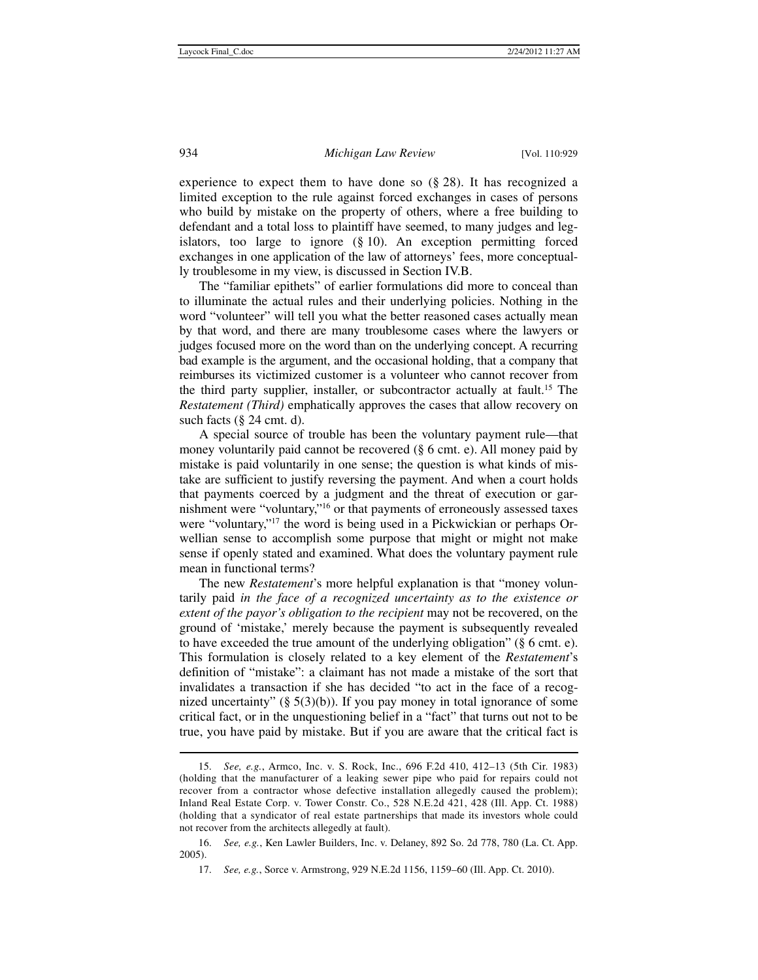experience to expect them to have done so (§ 28). It has recognized a limited exception to the rule against forced exchanges in cases of persons who build by mistake on the property of others, where a free building to defendant and a total loss to plaintiff have seemed, to many judges and legislators, too large to ignore (§ 10). An exception permitting forced exchanges in one application of the law of attorneys' fees, more conceptually troublesome in my view, is discussed in Section IV.B.

The "familiar epithets" of earlier formulations did more to conceal than to illuminate the actual rules and their underlying policies. Nothing in the word "volunteer" will tell you what the better reasoned cases actually mean by that word, and there are many troublesome cases where the lawyers or judges focused more on the word than on the underlying concept. A recurring bad example is the argument, and the occasional holding, that a company that reimburses its victimized customer is a volunteer who cannot recover from the third party supplier, installer, or subcontractor actually at fault.15 The *Restatement (Third)* emphatically approves the cases that allow recovery on such facts (§ 24 cmt. d).

A special source of trouble has been the voluntary payment rule—that money voluntarily paid cannot be recovered (§ 6 cmt. e). All money paid by mistake is paid voluntarily in one sense; the question is what kinds of mistake are sufficient to justify reversing the payment. And when a court holds that payments coerced by a judgment and the threat of execution or garnishment were "voluntary,"16 or that payments of erroneously assessed taxes were "voluntary,"17 the word is being used in a Pickwickian or perhaps Orwellian sense to accomplish some purpose that might or might not make sense if openly stated and examined. What does the voluntary payment rule mean in functional terms?

The new *Restatement*'s more helpful explanation is that "money voluntarily paid *in the face of a recognized uncertainty as to the existence or extent of the payor's obligation to the recipient* may not be recovered, on the ground of 'mistake,' merely because the payment is subsequently revealed to have exceeded the true amount of the underlying obligation" (§ 6 cmt. e). This formulation is closely related to a key element of the *Restatement*'s definition of "mistake": a claimant has not made a mistake of the sort that invalidates a transaction if she has decided "to act in the face of a recognized uncertainty"  $(\S 5(3)(b))$ . If you pay money in total ignorance of some critical fact, or in the unquestioning belief in a "fact" that turns out not to be true, you have paid by mistake. But if you are aware that the critical fact is

 <sup>15.</sup> *See, e.g.*, Armco, Inc. v. S. Rock, Inc., 696 F.2d 410, 412–13 (5th Cir. 1983) (holding that the manufacturer of a leaking sewer pipe who paid for repairs could not recover from a contractor whose defective installation allegedly caused the problem); Inland Real Estate Corp. v. Tower Constr. Co., 528 N.E.2d 421, 428 (Ill. App. Ct. 1988) (holding that a syndicator of real estate partnerships that made its investors whole could not recover from the architects allegedly at fault).

 <sup>16.</sup> *See, e.g.*, Ken Lawler Builders, Inc. v. Delaney, 892 So. 2d 778, 780 (La. Ct. App. 2005).

 <sup>17.</sup> *See, e.g.*, Sorce v. Armstrong, 929 N.E.2d 1156, 1159–60 (Ill. App. Ct. 2010).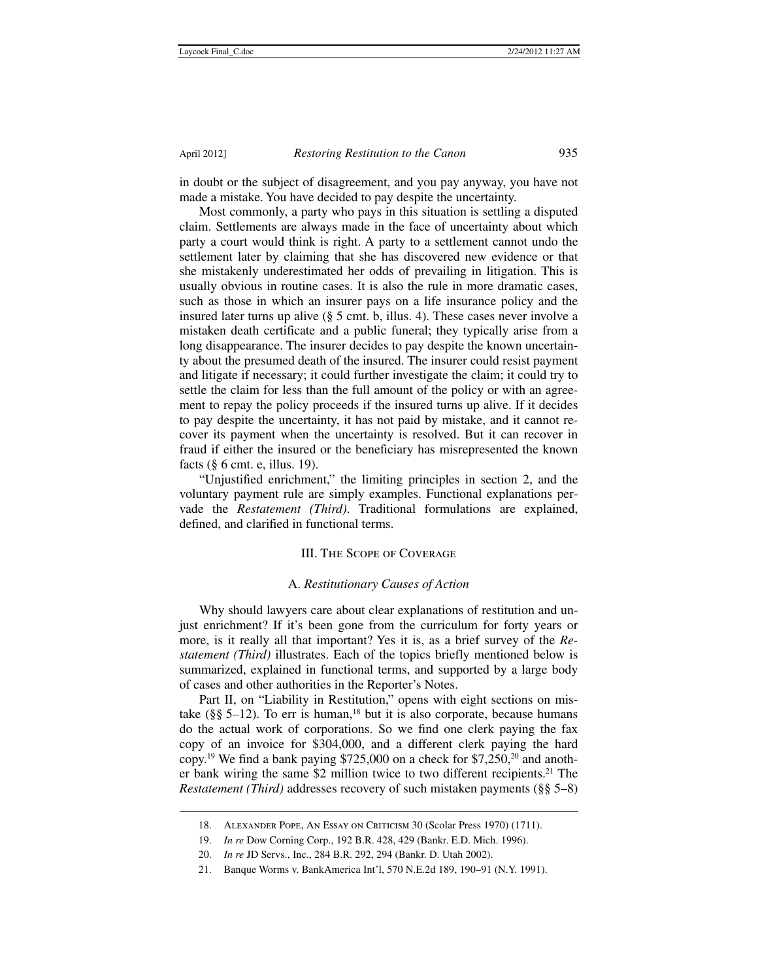$\overline{a}$ 

in doubt or the subject of disagreement, and you pay anyway, you have not made a mistake. You have decided to pay despite the uncertainty.

Most commonly, a party who pays in this situation is settling a disputed claim. Settlements are always made in the face of uncertainty about which party a court would think is right. A party to a settlement cannot undo the settlement later by claiming that she has discovered new evidence or that she mistakenly underestimated her odds of prevailing in litigation. This is usually obvious in routine cases. It is also the rule in more dramatic cases, such as those in which an insurer pays on a life insurance policy and the insured later turns up alive (§ 5 cmt. b, illus. 4). These cases never involve a mistaken death certificate and a public funeral; they typically arise from a long disappearance. The insurer decides to pay despite the known uncertainty about the presumed death of the insured. The insurer could resist payment and litigate if necessary; it could further investigate the claim; it could try to settle the claim for less than the full amount of the policy or with an agreement to repay the policy proceeds if the insured turns up alive. If it decides to pay despite the uncertainty, it has not paid by mistake, and it cannot recover its payment when the uncertainty is resolved. But it can recover in fraud if either the insured or the beneficiary has misrepresented the known facts (§ 6 cmt. e, illus. 19).

"Unjustified enrichment," the limiting principles in section 2, and the voluntary payment rule are simply examples. Functional explanations pervade the *Restatement (Third)*. Traditional formulations are explained, defined, and clarified in functional terms.

### III. The Scope of Coverage

### A. *Restitutionary Causes of Action*

Why should lawyers care about clear explanations of restitution and unjust enrichment? If it's been gone from the curriculum for forty years or more, is it really all that important? Yes it is, as a brief survey of the *Restatement (Third)* illustrates. Each of the topics briefly mentioned below is summarized, explained in functional terms, and supported by a large body of cases and other authorities in the Reporter's Notes.

Part II, on "Liability in Restitution," opens with eight sections on mistake ( $\S$ § 5–12). To err is human,<sup>18</sup> but it is also corporate, because humans do the actual work of corporations. So we find one clerk paying the fax copy of an invoice for \$304,000, and a different clerk paying the hard copy.<sup>19</sup> We find a bank paying \$725,000 on a check for \$7,250,<sup>20</sup> and another bank wiring the same \$2 million twice to two different recipients.<sup>21</sup> The *Restatement (Third)* addresses recovery of such mistaken payments (§§ 5–8)

 <sup>18.</sup> Alexander Pope, An Essay on Criticism 30 (Scolar Press 1970) (1711).

 <sup>19.</sup> *In re* Dow Corning Corp., 192 B.R. 428, 429 (Bankr. E.D. Mich. 1996).

 <sup>20.</sup> *In re* JD Servs., Inc., 284 B.R. 292, 294 (Bankr. D. Utah 2002).

 <sup>21.</sup> Banque Worms v. BankAmerica Int'l, 570 N.E.2d 189, 190–91 (N.Y. 1991).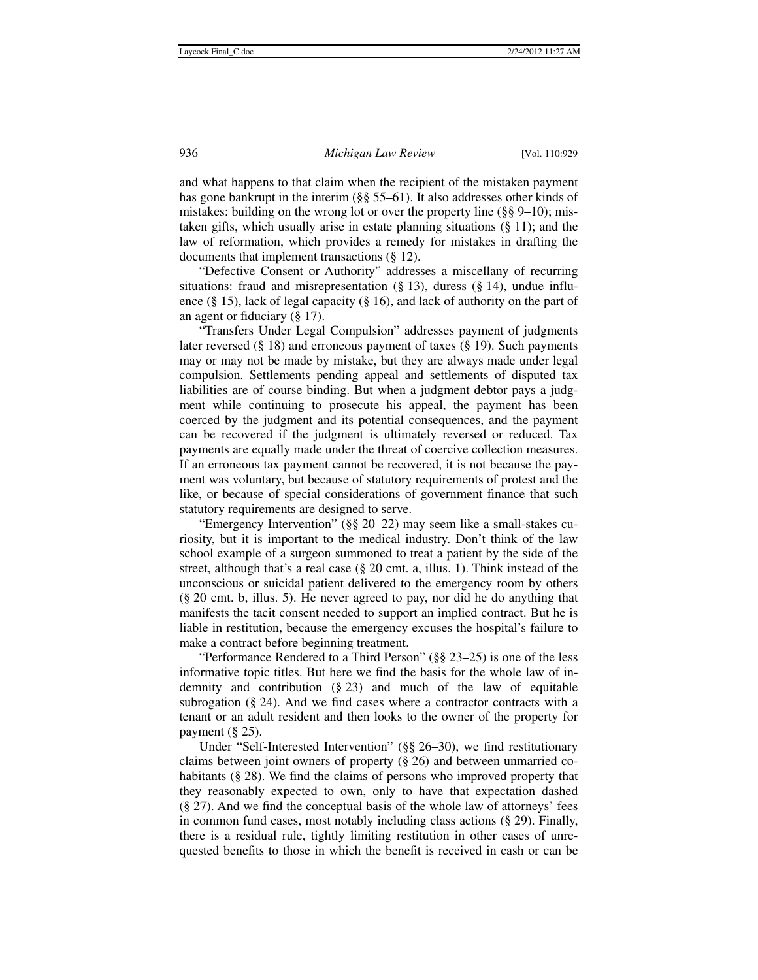and what happens to that claim when the recipient of the mistaken payment has gone bankrupt in the interim (§§ 55–61). It also addresses other kinds of mistakes: building on the wrong lot or over the property line (§§ 9–10); mistaken gifts, which usually arise in estate planning situations (§ 11); and the law of reformation, which provides a remedy for mistakes in drafting the documents that implement transactions (§ 12).

"Defective Consent or Authority" addresses a miscellany of recurring situations: fraud and misrepresentation  $(\S 13)$ , duress  $(\S 14)$ , undue influence (§ 15), lack of legal capacity (§ 16), and lack of authority on the part of an agent or fiduciary (§ 17).

"Transfers Under Legal Compulsion" addresses payment of judgments later reversed  $(\S 18)$  and erroneous payment of taxes  $(\S 19)$ . Such payments may or may not be made by mistake, but they are always made under legal compulsion. Settlements pending appeal and settlements of disputed tax liabilities are of course binding. But when a judgment debtor pays a judgment while continuing to prosecute his appeal, the payment has been coerced by the judgment and its potential consequences, and the payment can be recovered if the judgment is ultimately reversed or reduced. Tax payments are equally made under the threat of coercive collection measures. If an erroneous tax payment cannot be recovered, it is not because the payment was voluntary, but because of statutory requirements of protest and the like, or because of special considerations of government finance that such statutory requirements are designed to serve.

"Emergency Intervention" (§§ 20–22) may seem like a small-stakes curiosity, but it is important to the medical industry. Don't think of the law school example of a surgeon summoned to treat a patient by the side of the street, although that's a real case (§ 20 cmt. a, illus. 1). Think instead of the unconscious or suicidal patient delivered to the emergency room by others (§ 20 cmt. b, illus. 5). He never agreed to pay, nor did he do anything that manifests the tacit consent needed to support an implied contract. But he is liable in restitution, because the emergency excuses the hospital's failure to make a contract before beginning treatment.

"Performance Rendered to a Third Person" (§§ 23–25) is one of the less informative topic titles. But here we find the basis for the whole law of indemnity and contribution (§ 23) and much of the law of equitable subrogation (§ 24). And we find cases where a contractor contracts with a tenant or an adult resident and then looks to the owner of the property for payment  $(\S 25)$ .

Under "Self-Interested Intervention" (§§ 26–30), we find restitutionary claims between joint owners of property (§ 26) and between unmarried cohabitants (§ 28). We find the claims of persons who improved property that they reasonably expected to own, only to have that expectation dashed (§ 27). And we find the conceptual basis of the whole law of attorneys' fees in common fund cases, most notably including class actions (§ 29). Finally, there is a residual rule, tightly limiting restitution in other cases of unrequested benefits to those in which the benefit is received in cash or can be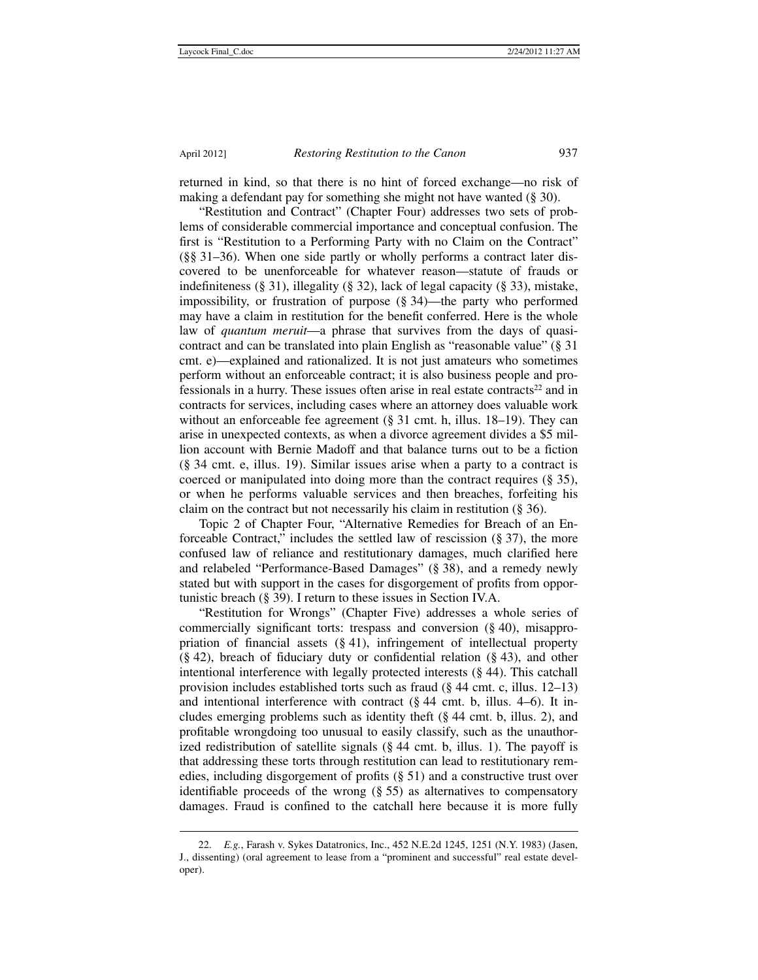$\overline{a}$ 

returned in kind, so that there is no hint of forced exchange—no risk of making a defendant pay for something she might not have wanted (§ 30).

"Restitution and Contract" (Chapter Four) addresses two sets of problems of considerable commercial importance and conceptual confusion. The first is "Restitution to a Performing Party with no Claim on the Contract" (§§ 31–36). When one side partly or wholly performs a contract later discovered to be unenforceable for whatever reason—statute of frauds or indefiniteness (§ 31), illegality (§ 32), lack of legal capacity (§ 33), mistake, impossibility, or frustration of purpose (§ 34)—the party who performed may have a claim in restitution for the benefit conferred. Here is the whole law of *quantum meruit*—a phrase that survives from the days of quasicontract and can be translated into plain English as "reasonable value" (§ 31 cmt. e)—explained and rationalized. It is not just amateurs who sometimes perform without an enforceable contract; it is also business people and professionals in a hurry. These issues often arise in real estate contracts<sup>22</sup> and in contracts for services, including cases where an attorney does valuable work without an enforceable fee agreement (§ 31 cmt. h, illus. 18–19). They can arise in unexpected contexts, as when a divorce agreement divides a \$5 million account with Bernie Madoff and that balance turns out to be a fiction (§ 34 cmt. e, illus. 19). Similar issues arise when a party to a contract is coerced or manipulated into doing more than the contract requires (§ 35), or when he performs valuable services and then breaches, forfeiting his claim on the contract but not necessarily his claim in restitution (§ 36).

Topic 2 of Chapter Four, "Alternative Remedies for Breach of an Enforceable Contract," includes the settled law of rescission (§ 37), the more confused law of reliance and restitutionary damages, much clarified here and relabeled "Performance-Based Damages" (§ 38), and a remedy newly stated but with support in the cases for disgorgement of profits from opportunistic breach (§ 39). I return to these issues in Section IV.A.

"Restitution for Wrongs" (Chapter Five) addresses a whole series of commercially significant torts: trespass and conversion (§ 40), misappropriation of financial assets (§ 41), infringement of intellectual property  $(\S 42)$ , breach of fiduciary duty or confidential relation  $(\S 43)$ , and other intentional interference with legally protected interests (§ 44). This catchall provision includes established torts such as fraud (§ 44 cmt. c, illus. 12–13) and intentional interference with contract  $(\S 44 \text{ cm}t)$ . b, illus. 4–6). It includes emerging problems such as identity theft (§ 44 cmt. b, illus. 2), and profitable wrongdoing too unusual to easily classify, such as the unauthorized redistribution of satellite signals (§ 44 cmt. b, illus. 1). The payoff is that addressing these torts through restitution can lead to restitutionary remedies, including disgorgement of profits (§ 51) and a constructive trust over identifiable proceeds of the wrong (§ 55) as alternatives to compensatory damages. Fraud is confined to the catchall here because it is more fully

 <sup>22.</sup> *E.g.*, Farash v. Sykes Datatronics, Inc., 452 N.E.2d 1245, 1251 (N.Y. 1983) (Jasen, J., dissenting) (oral agreement to lease from a "prominent and successful" real estate developer).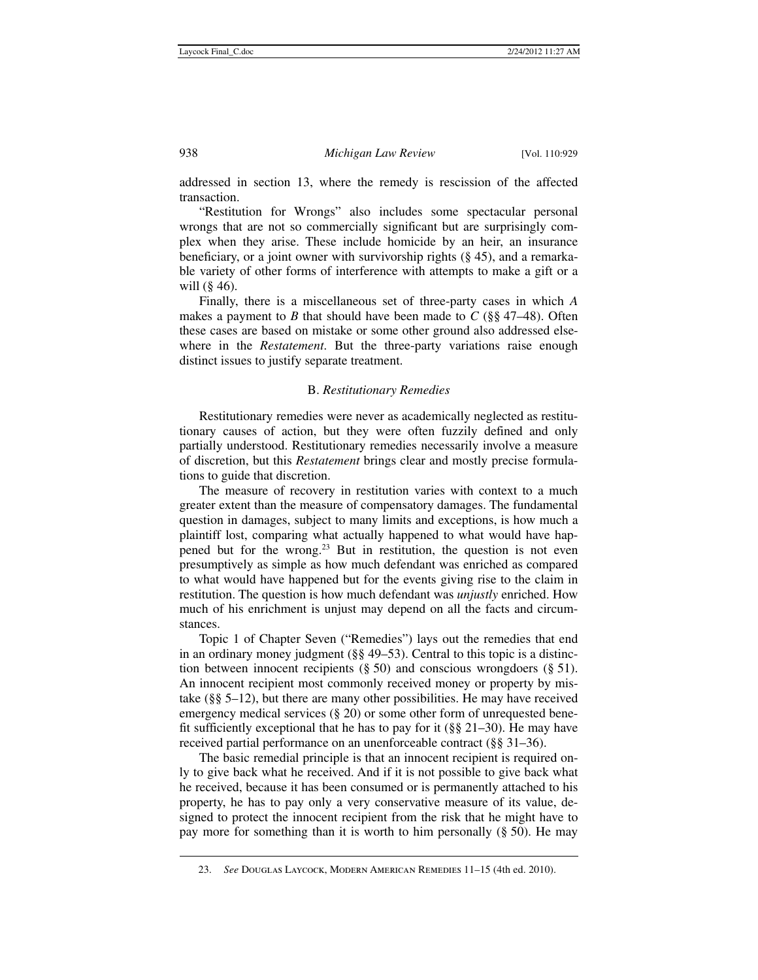addressed in section 13, where the remedy is rescission of the affected transaction.

"Restitution for Wrongs" also includes some spectacular personal wrongs that are not so commercially significant but are surprisingly complex when they arise. These include homicide by an heir, an insurance beneficiary, or a joint owner with survivorship rights (§ 45), and a remarkable variety of other forms of interference with attempts to make a gift or a will  $(\S$  46).

Finally, there is a miscellaneous set of three-party cases in which *A* makes a payment to *B* that should have been made to *C* ( $\S$ § 47–48). Often these cases are based on mistake or some other ground also addressed elsewhere in the *Restatement*. But the three-party variations raise enough distinct issues to justify separate treatment.

### B. *Restitutionary Remedies*

Restitutionary remedies were never as academically neglected as restitutionary causes of action, but they were often fuzzily defined and only partially understood. Restitutionary remedies necessarily involve a measure of discretion, but this *Restatement* brings clear and mostly precise formulations to guide that discretion.

The measure of recovery in restitution varies with context to a much greater extent than the measure of compensatory damages. The fundamental question in damages, subject to many limits and exceptions, is how much a plaintiff lost, comparing what actually happened to what would have happened but for the wrong.23 But in restitution, the question is not even presumptively as simple as how much defendant was enriched as compared to what would have happened but for the events giving rise to the claim in restitution. The question is how much defendant was *unjustly* enriched. How much of his enrichment is unjust may depend on all the facts and circumstances.

Topic 1 of Chapter Seven ("Remedies") lays out the remedies that end in an ordinary money judgment (§§ 49–53). Central to this topic is a distinction between innocent recipients  $(\S 50)$  and conscious wrongdoers  $(\S 51)$ . An innocent recipient most commonly received money or property by mistake (§§ 5–12), but there are many other possibilities. He may have received emergency medical services (§ 20) or some other form of unrequested benefit sufficiently exceptional that he has to pay for it ( $\S$ § 21–30). He may have received partial performance on an unenforceable contract (§§ 31–36).

The basic remedial principle is that an innocent recipient is required only to give back what he received. And if it is not possible to give back what he received, because it has been consumed or is permanently attached to his property, he has to pay only a very conservative measure of its value, designed to protect the innocent recipient from the risk that he might have to pay more for something than it is worth to him personally (§ 50). He may

 <sup>23.</sup> *See* Douglas Laycock, Modern American Remedies 11–15 (4th ed. 2010).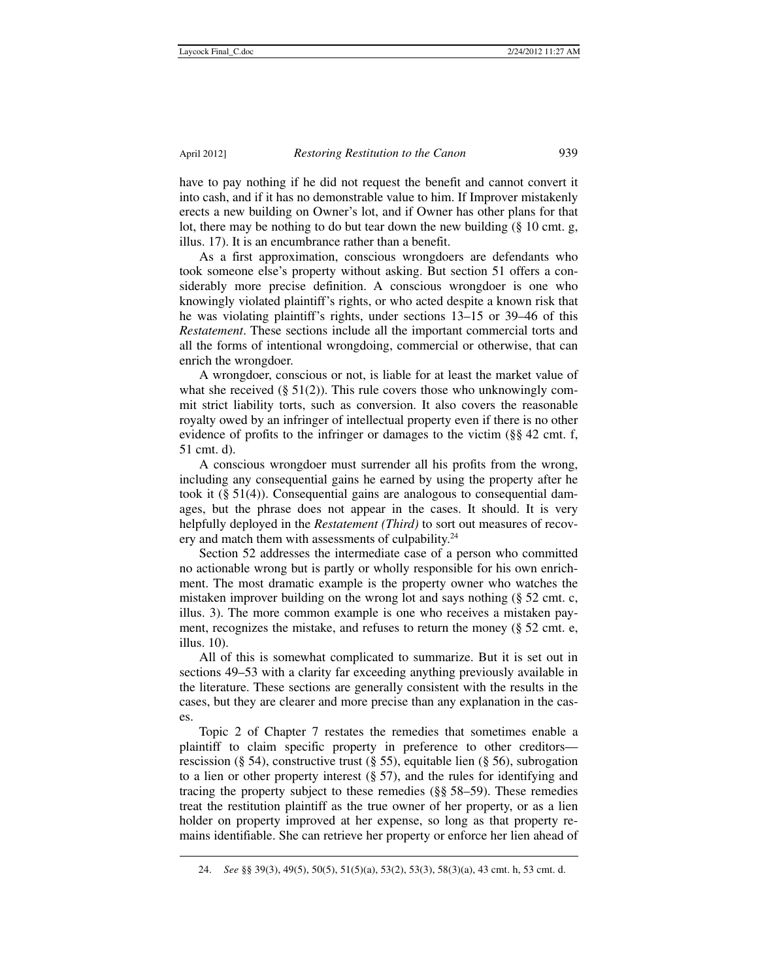$\overline{a}$ 

have to pay nothing if he did not request the benefit and cannot convert it into cash, and if it has no demonstrable value to him. If Improver mistakenly erects a new building on Owner's lot, and if Owner has other plans for that lot, there may be nothing to do but tear down the new building (§ 10 cmt. g, illus. 17). It is an encumbrance rather than a benefit.

As a first approximation, conscious wrongdoers are defendants who took someone else's property without asking. But section 51 offers a considerably more precise definition. A conscious wrongdoer is one who knowingly violated plaintiff's rights, or who acted despite a known risk that he was violating plaintiff's rights, under sections 13–15 or 39–46 of this *Restatement*. These sections include all the important commercial torts and all the forms of intentional wrongdoing, commercial or otherwise, that can enrich the wrongdoer.

A wrongdoer, conscious or not, is liable for at least the market value of what she received  $(\S 51(2))$ . This rule covers those who unknowingly commit strict liability torts, such as conversion. It also covers the reasonable royalty owed by an infringer of intellectual property even if there is no other evidence of profits to the infringer or damages to the victim (§§ 42 cmt. f, 51 cmt. d).

A conscious wrongdoer must surrender all his profits from the wrong, including any consequential gains he earned by using the property after he took it (§ 51(4)). Consequential gains are analogous to consequential damages, but the phrase does not appear in the cases. It should. It is very helpfully deployed in the *Restatement (Third)* to sort out measures of recovery and match them with assessments of culpability.<sup>24</sup>

Section 52 addresses the intermediate case of a person who committed no actionable wrong but is partly or wholly responsible for his own enrichment. The most dramatic example is the property owner who watches the mistaken improver building on the wrong lot and says nothing (§ 52 cmt. c, illus. 3). The more common example is one who receives a mistaken payment, recognizes the mistake, and refuses to return the money (§ 52 cmt. e, illus. 10).

All of this is somewhat complicated to summarize. But it is set out in sections 49–53 with a clarity far exceeding anything previously available in the literature. These sections are generally consistent with the results in the cases, but they are clearer and more precise than any explanation in the cases.

Topic 2 of Chapter 7 restates the remedies that sometimes enable a plaintiff to claim specific property in preference to other creditors rescission (§ 54), constructive trust (§ 55), equitable lien (§ 56), subrogation to a lien or other property interest  $(\S 57)$ , and the rules for identifying and tracing the property subject to these remedies (§§ 58–59). These remedies treat the restitution plaintiff as the true owner of her property, or as a lien holder on property improved at her expense, so long as that property remains identifiable. She can retrieve her property or enforce her lien ahead of

 <sup>24.</sup> *See* §§ 39(3), 49(5), 50(5), 51(5)(a), 53(2), 53(3), 58(3)(a), 43 cmt. h, 53 cmt. d.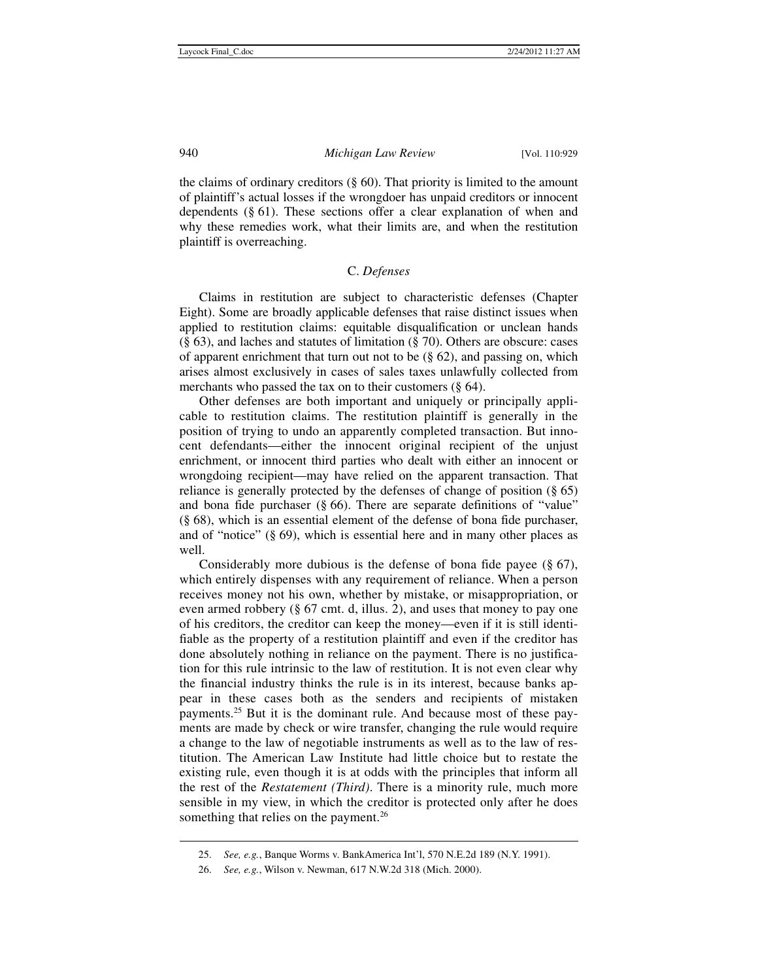the claims of ordinary creditors  $(\S 60)$ . That priority is limited to the amount of plaintiff's actual losses if the wrongdoer has unpaid creditors or innocent dependents (§ 61). These sections offer a clear explanation of when and why these remedies work, what their limits are, and when the restitution plaintiff is overreaching.

# C. *Defenses*

Claims in restitution are subject to characteristic defenses (Chapter Eight). Some are broadly applicable defenses that raise distinct issues when applied to restitution claims: equitable disqualification or unclean hands (§ 63), and laches and statutes of limitation (§ 70). Others are obscure: cases of apparent enrichment that turn out not to be  $(\S$  62), and passing on, which arises almost exclusively in cases of sales taxes unlawfully collected from merchants who passed the tax on to their customers (§ 64).

Other defenses are both important and uniquely or principally applicable to restitution claims. The restitution plaintiff is generally in the position of trying to undo an apparently completed transaction. But innocent defendants—either the innocent original recipient of the unjust enrichment, or innocent third parties who dealt with either an innocent or wrongdoing recipient—may have relied on the apparent transaction. That reliance is generally protected by the defenses of change of position (§ 65) and bona fide purchaser (§ 66). There are separate definitions of "value" (§ 68), which is an essential element of the defense of bona fide purchaser, and of "notice" (§ 69), which is essential here and in many other places as well.

Considerably more dubious is the defense of bona fide payee (§ 67), which entirely dispenses with any requirement of reliance. When a person receives money not his own, whether by mistake, or misappropriation, or even armed robbery (§ 67 cmt. d, illus. 2), and uses that money to pay one of his creditors, the creditor can keep the money—even if it is still identifiable as the property of a restitution plaintiff and even if the creditor has done absolutely nothing in reliance on the payment. There is no justification for this rule intrinsic to the law of restitution. It is not even clear why the financial industry thinks the rule is in its interest, because banks appear in these cases both as the senders and recipients of mistaken payments.25 But it is the dominant rule. And because most of these payments are made by check or wire transfer, changing the rule would require a change to the law of negotiable instruments as well as to the law of restitution. The American Law Institute had little choice but to restate the existing rule, even though it is at odds with the principles that inform all the rest of the *Restatement (Third)*. There is a minority rule, much more sensible in my view, in which the creditor is protected only after he does something that relies on the payment.<sup>26</sup>

 <sup>25.</sup> *See, e.g.*, Banque Worms v. BankAmerica Int'l, 570 N.E.2d 189 (N.Y. 1991).

 <sup>26.</sup> *See, e.g.*, Wilson v. Newman, 617 N.W.2d 318 (Mich. 2000).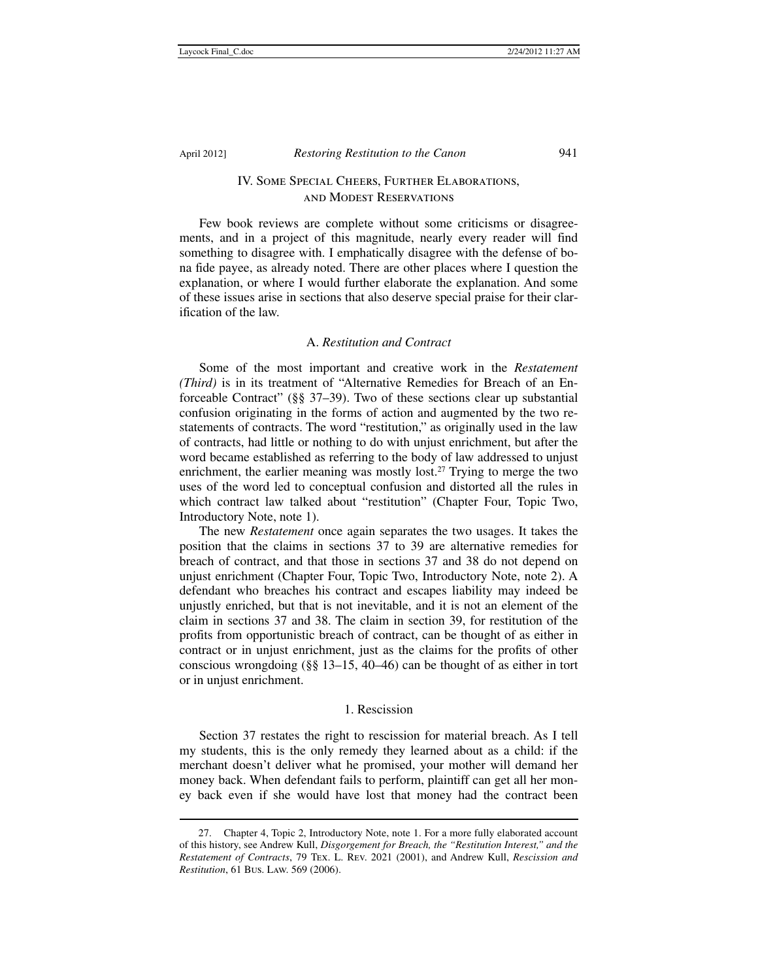1

# IV. Some Special Cheers, Further Elaborations, and Modest Reservations

Few book reviews are complete without some criticisms or disagreements, and in a project of this magnitude, nearly every reader will find something to disagree with. I emphatically disagree with the defense of bona fide payee, as already noted. There are other places where I question the explanation, or where I would further elaborate the explanation. And some of these issues arise in sections that also deserve special praise for their clarification of the law.

### A. *Restitution and Contract*

Some of the most important and creative work in the *Restatement (Third)* is in its treatment of "Alternative Remedies for Breach of an Enforceable Contract" (§§ 37–39). Two of these sections clear up substantial confusion originating in the forms of action and augmented by the two restatements of contracts. The word "restitution," as originally used in the law of contracts, had little or nothing to do with unjust enrichment, but after the word became established as referring to the body of law addressed to unjust enrichment, the earlier meaning was mostly lost.<sup>27</sup> Trying to merge the two uses of the word led to conceptual confusion and distorted all the rules in which contract law talked about "restitution" (Chapter Four, Topic Two, Introductory Note, note 1).

The new *Restatement* once again separates the two usages. It takes the position that the claims in sections 37 to 39 are alternative remedies for breach of contract, and that those in sections 37 and 38 do not depend on unjust enrichment (Chapter Four, Topic Two, Introductory Note, note 2). A defendant who breaches his contract and escapes liability may indeed be unjustly enriched, but that is not inevitable, and it is not an element of the claim in sections 37 and 38. The claim in section 39, for restitution of the profits from opportunistic breach of contract, can be thought of as either in contract or in unjust enrichment, just as the claims for the profits of other conscious wrongdoing (§§ 13–15, 40–46) can be thought of as either in tort or in unjust enrichment.

#### 1. Rescission

Section 37 restates the right to rescission for material breach. As I tell my students, this is the only remedy they learned about as a child: if the merchant doesn't deliver what he promised, your mother will demand her money back. When defendant fails to perform, plaintiff can get all her money back even if she would have lost that money had the contract been

 <sup>27.</sup> Chapter 4, Topic 2, Introductory Note, note 1. For a more fully elaborated account of this history, see Andrew Kull, *Disgorgement for Breach, the "Restitution Interest," and the Restatement of Contracts*, 79 Tex. L. Rev. 2021 (2001), and Andrew Kull, *Rescission and Restitution*, 61 Bus. Law. 569 (2006).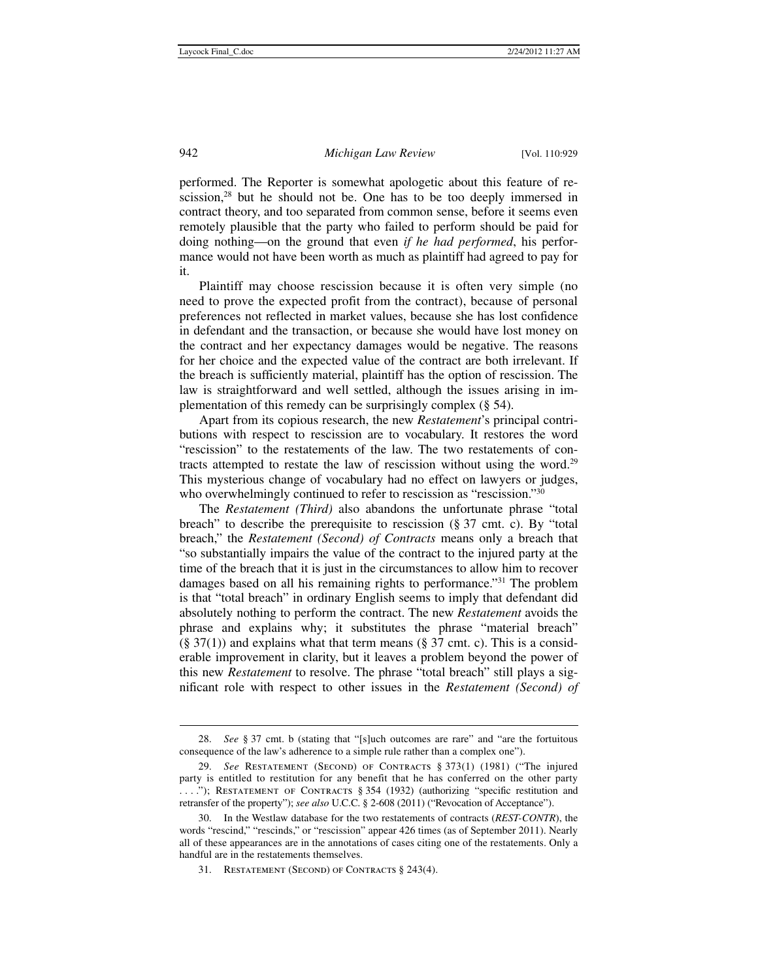performed. The Reporter is somewhat apologetic about this feature of rescission,<sup>28</sup> but he should not be. One has to be too deeply immersed in contract theory, and too separated from common sense, before it seems even remotely plausible that the party who failed to perform should be paid for doing nothing—on the ground that even *if he had performed*, his performance would not have been worth as much as plaintiff had agreed to pay for it.

Plaintiff may choose rescission because it is often very simple (no need to prove the expected profit from the contract), because of personal preferences not reflected in market values, because she has lost confidence in defendant and the transaction, or because she would have lost money on the contract and her expectancy damages would be negative. The reasons for her choice and the expected value of the contract are both irrelevant. If the breach is sufficiently material, plaintiff has the option of rescission. The law is straightforward and well settled, although the issues arising in implementation of this remedy can be surprisingly complex (§ 54).

Apart from its copious research, the new *Restatement*'s principal contributions with respect to rescission are to vocabulary. It restores the word "rescission" to the restatements of the law. The two restatements of contracts attempted to restate the law of rescission without using the word.29 This mysterious change of vocabulary had no effect on lawyers or judges, who overwhelmingly continued to refer to rescission as "rescission."<sup>30</sup>

The *Restatement (Third)* also abandons the unfortunate phrase "total breach" to describe the prerequisite to rescission (§ 37 cmt. c). By "total breach," the *Restatement (Second) of Contracts* means only a breach that "so substantially impairs the value of the contract to the injured party at the time of the breach that it is just in the circumstances to allow him to recover damages based on all his remaining rights to performance."31 The problem is that "total breach" in ordinary English seems to imply that defendant did absolutely nothing to perform the contract. The new *Restatement* avoids the phrase and explains why; it substitutes the phrase "material breach"  $(\S 37(1))$  and explains what that term means  $(\S 37 \text{ cm}t. c)$ . This is a considerable improvement in clarity, but it leaves a problem beyond the power of this new *Restatement* to resolve. The phrase "total breach" still plays a significant role with respect to other issues in the *Restatement (Second) of* 

 <sup>28.</sup> *See* § 37 cmt. b (stating that "[s]uch outcomes are rare" and "are the fortuitous consequence of the law's adherence to a simple rule rather than a complex one").

 <sup>29.</sup> *See* Restatement (Second) of Contracts § 373(1) (1981) ("The injured party is entitled to restitution for any benefit that he has conferred on the other party . . . ."); Restatement of Contracts § 354 (1932) (authorizing "specific restitution and retransfer of the property"); *see also* U.C.C. § 2-608 (2011) ("Revocation of Acceptance").

 <sup>30.</sup> In the Westlaw database for the two restatements of contracts (*REST-CONTR*), the words "rescind," "rescinds," or "rescission" appear 426 times (as of September 2011). Nearly all of these appearances are in the annotations of cases citing one of the restatements. Only a handful are in the restatements themselves.

 <sup>31.</sup> Restatement (Second) of Contracts § 243(4).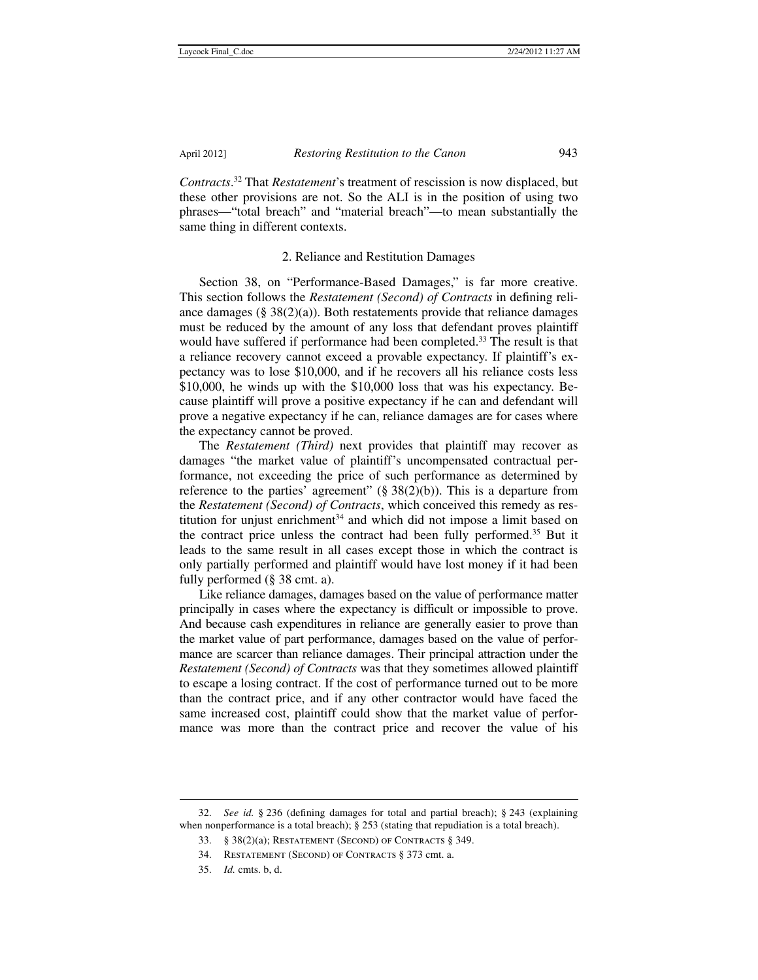*Contracts*. 32 That *Restatement*'s treatment of rescission is now displaced, but these other provisions are not. So the ALI is in the position of using two phrases—"total breach" and "material breach"—to mean substantially the same thing in different contexts.

### 2. Reliance and Restitution Damages

Section 38, on "Performance-Based Damages," is far more creative. This section follows the *Restatement (Second) of Contracts* in defining reliance damages (§  $38(2)(a)$ ). Both restatements provide that reliance damages must be reduced by the amount of any loss that defendant proves plaintiff would have suffered if performance had been completed.<sup>33</sup> The result is that a reliance recovery cannot exceed a provable expectancy. If plaintiff's expectancy was to lose \$10,000, and if he recovers all his reliance costs less \$10,000, he winds up with the \$10,000 loss that was his expectancy. Because plaintiff will prove a positive expectancy if he can and defendant will prove a negative expectancy if he can, reliance damages are for cases where the expectancy cannot be proved.

The *Restatement (Third)* next provides that plaintiff may recover as damages "the market value of plaintiff's uncompensated contractual performance, not exceeding the price of such performance as determined by reference to the parties' agreement"  $(\S 38(2)(b))$ . This is a departure from the *Restatement (Second) of Contracts*, which conceived this remedy as restitution for unjust enrichment $34$  and which did not impose a limit based on the contract price unless the contract had been fully performed.35 But it leads to the same result in all cases except those in which the contract is only partially performed and plaintiff would have lost money if it had been fully performed (§ 38 cmt. a).

Like reliance damages, damages based on the value of performance matter principally in cases where the expectancy is difficult or impossible to prove. And because cash expenditures in reliance are generally easier to prove than the market value of part performance, damages based on the value of performance are scarcer than reliance damages. Their principal attraction under the *Restatement (Second) of Contracts* was that they sometimes allowed plaintiff to escape a losing contract. If the cost of performance turned out to be more than the contract price, and if any other contractor would have faced the same increased cost, plaintiff could show that the market value of performance was more than the contract price and recover the value of his

 <sup>32.</sup> *See id.* § 236 (defining damages for total and partial breach); § 243 (explaining when nonperformance is a total breach); § 253 (stating that repudiation is a total breach).

 <sup>33. § 38(2)(</sup>a); Restatement (Second) of Contracts § 349.

 <sup>34.</sup> Restatement (Second) of Contracts § 373 cmt. a.

 <sup>35.</sup> *Id.* cmts. b, d.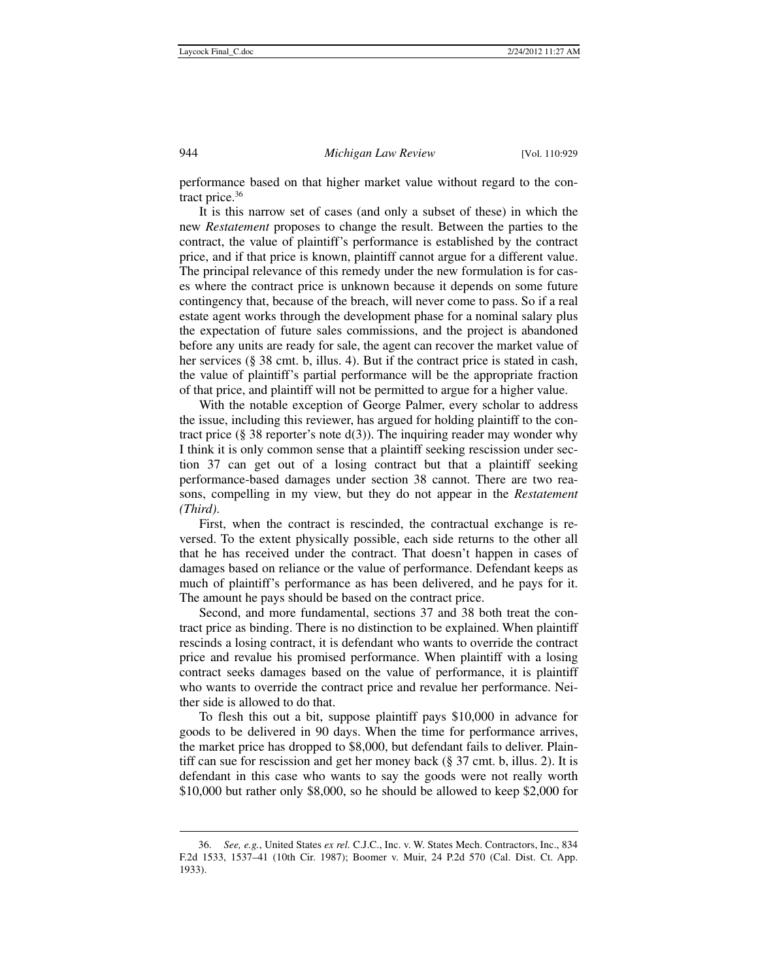performance based on that higher market value without regard to the contract price.36

It is this narrow set of cases (and only a subset of these) in which the new *Restatement* proposes to change the result. Between the parties to the contract, the value of plaintiff's performance is established by the contract price, and if that price is known, plaintiff cannot argue for a different value. The principal relevance of this remedy under the new formulation is for cases where the contract price is unknown because it depends on some future contingency that, because of the breach, will never come to pass. So if a real estate agent works through the development phase for a nominal salary plus the expectation of future sales commissions, and the project is abandoned before any units are ready for sale, the agent can recover the market value of her services (§ 38 cmt. b, illus. 4). But if the contract price is stated in cash, the value of plaintiff's partial performance will be the appropriate fraction of that price, and plaintiff will not be permitted to argue for a higher value.

With the notable exception of George Palmer, every scholar to address the issue, including this reviewer, has argued for holding plaintiff to the contract price (§ 38 reporter's note  $d(3)$ ). The inquiring reader may wonder why I think it is only common sense that a plaintiff seeking rescission under section 37 can get out of a losing contract but that a plaintiff seeking performance-based damages under section 38 cannot. There are two reasons, compelling in my view, but they do not appear in the *Restatement (Third)*.

First, when the contract is rescinded, the contractual exchange is reversed. To the extent physically possible, each side returns to the other all that he has received under the contract. That doesn't happen in cases of damages based on reliance or the value of performance. Defendant keeps as much of plaintiff's performance as has been delivered, and he pays for it. The amount he pays should be based on the contract price.

Second, and more fundamental, sections 37 and 38 both treat the contract price as binding. There is no distinction to be explained. When plaintiff rescinds a losing contract, it is defendant who wants to override the contract price and revalue his promised performance. When plaintiff with a losing contract seeks damages based on the value of performance, it is plaintiff who wants to override the contract price and revalue her performance. Neither side is allowed to do that.

To flesh this out a bit, suppose plaintiff pays \$10,000 in advance for goods to be delivered in 90 days. When the time for performance arrives, the market price has dropped to \$8,000, but defendant fails to deliver. Plaintiff can sue for rescission and get her money back (§ 37 cmt. b, illus. 2). It is defendant in this case who wants to say the goods were not really worth \$10,000 but rather only \$8,000, so he should be allowed to keep \$2,000 for

 <sup>36.</sup> *See, e.g.*, United States *ex rel.* C.J.C., Inc. v. W. States Mech. Contractors, Inc., 834 F.2d 1533, 1537–41 (10th Cir. 1987); Boomer v. Muir, 24 P.2d 570 (Cal. Dist. Ct. App. 1933).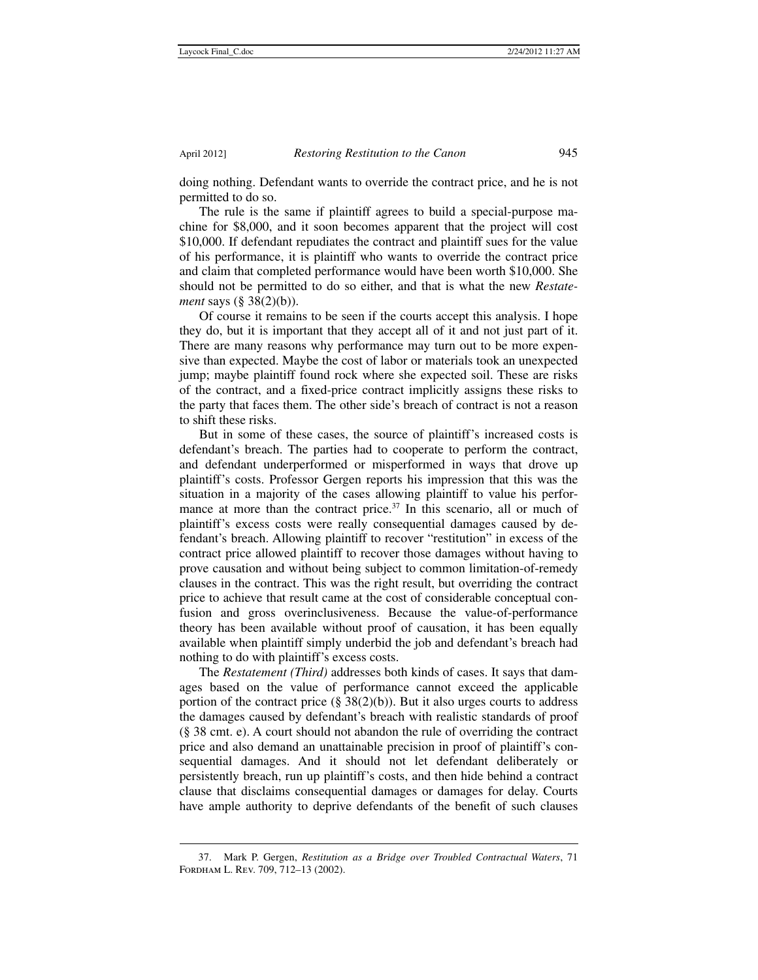1

doing nothing. Defendant wants to override the contract price, and he is not permitted to do so.

The rule is the same if plaintiff agrees to build a special-purpose machine for \$8,000, and it soon becomes apparent that the project will cost \$10,000. If defendant repudiates the contract and plaintiff sues for the value of his performance, it is plaintiff who wants to override the contract price and claim that completed performance would have been worth \$10,000. She should not be permitted to do so either, and that is what the new *Restatement* says (§ 38(2)(b)).

Of course it remains to be seen if the courts accept this analysis. I hope they do, but it is important that they accept all of it and not just part of it. There are many reasons why performance may turn out to be more expensive than expected. Maybe the cost of labor or materials took an unexpected jump; maybe plaintiff found rock where she expected soil. These are risks of the contract, and a fixed-price contract implicitly assigns these risks to the party that faces them. The other side's breach of contract is not a reason to shift these risks.

But in some of these cases, the source of plaintiff's increased costs is defendant's breach. The parties had to cooperate to perform the contract, and defendant underperformed or misperformed in ways that drove up plaintiff's costs. Professor Gergen reports his impression that this was the situation in a majority of the cases allowing plaintiff to value his performance at more than the contract price.<sup>37</sup> In this scenario, all or much of plaintiff's excess costs were really consequential damages caused by defendant's breach. Allowing plaintiff to recover "restitution" in excess of the contract price allowed plaintiff to recover those damages without having to prove causation and without being subject to common limitation-of-remedy clauses in the contract. This was the right result, but overriding the contract price to achieve that result came at the cost of considerable conceptual confusion and gross overinclusiveness. Because the value-of-performance theory has been available without proof of causation, it has been equally available when plaintiff simply underbid the job and defendant's breach had nothing to do with plaintiff's excess costs.

The *Restatement (Third)* addresses both kinds of cases. It says that damages based on the value of performance cannot exceed the applicable portion of the contract price  $(\S 38(2)(b))$ . But it also urges courts to address the damages caused by defendant's breach with realistic standards of proof (§ 38 cmt. e). A court should not abandon the rule of overriding the contract price and also demand an unattainable precision in proof of plaintiff's consequential damages. And it should not let defendant deliberately or persistently breach, run up plaintiff's costs, and then hide behind a contract clause that disclaims consequential damages or damages for delay. Courts have ample authority to deprive defendants of the benefit of such clauses

 <sup>37.</sup> Mark P. Gergen, *Restitution as a Bridge over Troubled Contractual Waters*, 71 Fordham L. Rev. 709, 712–13 (2002).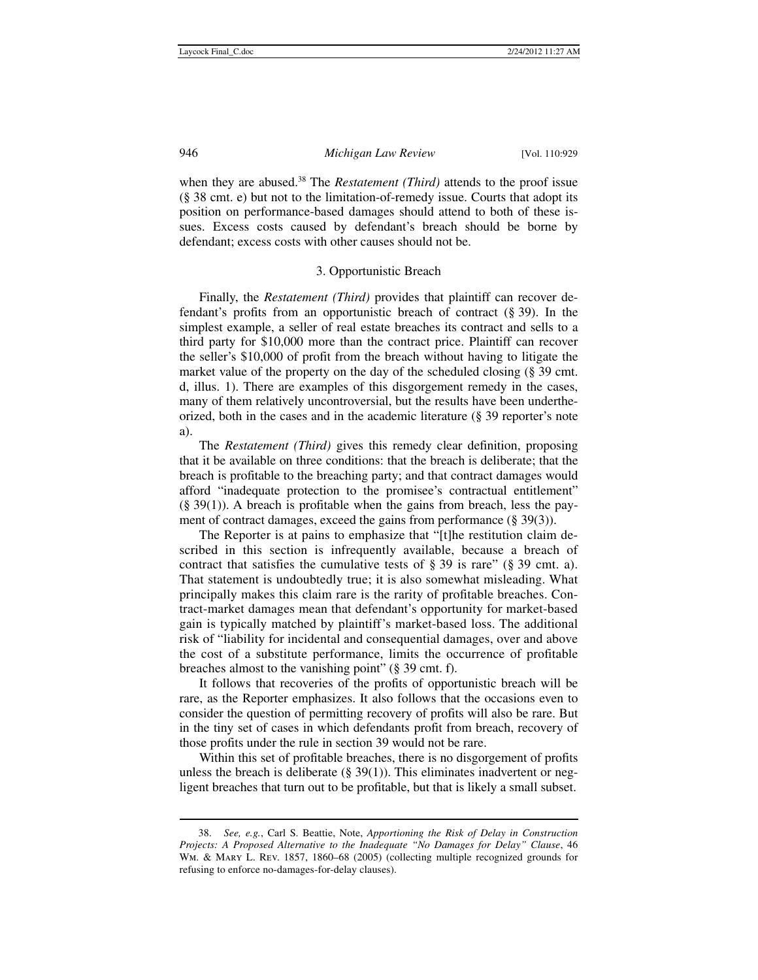when they are abused.<sup>38</sup> The *Restatement (Third)* attends to the proof issue (§ 38 cmt. e) but not to the limitation-of-remedy issue. Courts that adopt its position on performance-based damages should attend to both of these issues. Excess costs caused by defendant's breach should be borne by defendant; excess costs with other causes should not be.

# 3. Opportunistic Breach

Finally, the *Restatement (Third)* provides that plaintiff can recover defendant's profits from an opportunistic breach of contract (§ 39). In the simplest example, a seller of real estate breaches its contract and sells to a third party for \$10,000 more than the contract price. Plaintiff can recover the seller's \$10,000 of profit from the breach without having to litigate the market value of the property on the day of the scheduled closing (§ 39 cmt. d, illus. 1). There are examples of this disgorgement remedy in the cases, many of them relatively uncontroversial, but the results have been undertheorized, both in the cases and in the academic literature (§ 39 reporter's note a).

The *Restatement (Third)* gives this remedy clear definition, proposing that it be available on three conditions: that the breach is deliberate; that the breach is profitable to the breaching party; and that contract damages would afford "inadequate protection to the promisee's contractual entitlement"  $(\S 39(1))$ . A breach is profitable when the gains from breach, less the payment of contract damages, exceed the gains from performance (§ 39(3)).

The Reporter is at pains to emphasize that "[t]he restitution claim described in this section is infrequently available, because a breach of contract that satisfies the cumulative tests of  $\S 39$  is rare" ( $\S 39$  cmt. a). That statement is undoubtedly true; it is also somewhat misleading. What principally makes this claim rare is the rarity of profitable breaches. Contract-market damages mean that defendant's opportunity for market-based gain is typically matched by plaintiff's market-based loss. The additional risk of "liability for incidental and consequential damages, over and above the cost of a substitute performance, limits the occurrence of profitable breaches almost to the vanishing point" (§ 39 cmt. f).

It follows that recoveries of the profits of opportunistic breach will be rare, as the Reporter emphasizes. It also follows that the occasions even to consider the question of permitting recovery of profits will also be rare. But in the tiny set of cases in which defendants profit from breach, recovery of those profits under the rule in section 39 would not be rare.

Within this set of profitable breaches, there is no disgorgement of profits unless the breach is deliberate  $(\S 39(1))$ . This eliminates inadvertent or negligent breaches that turn out to be profitable, but that is likely a small subset.

 <sup>38.</sup> *See, e.g.*, Carl S. Beattie, Note, *Apportioning the Risk of Delay in Construction Projects: A Proposed Alternative to the Inadequate "No Damages for Delay" Clause*, 46 Wm. & Mary L. Rev. 1857, 1860–68 (2005) (collecting multiple recognized grounds for refusing to enforce no-damages-for-delay clauses).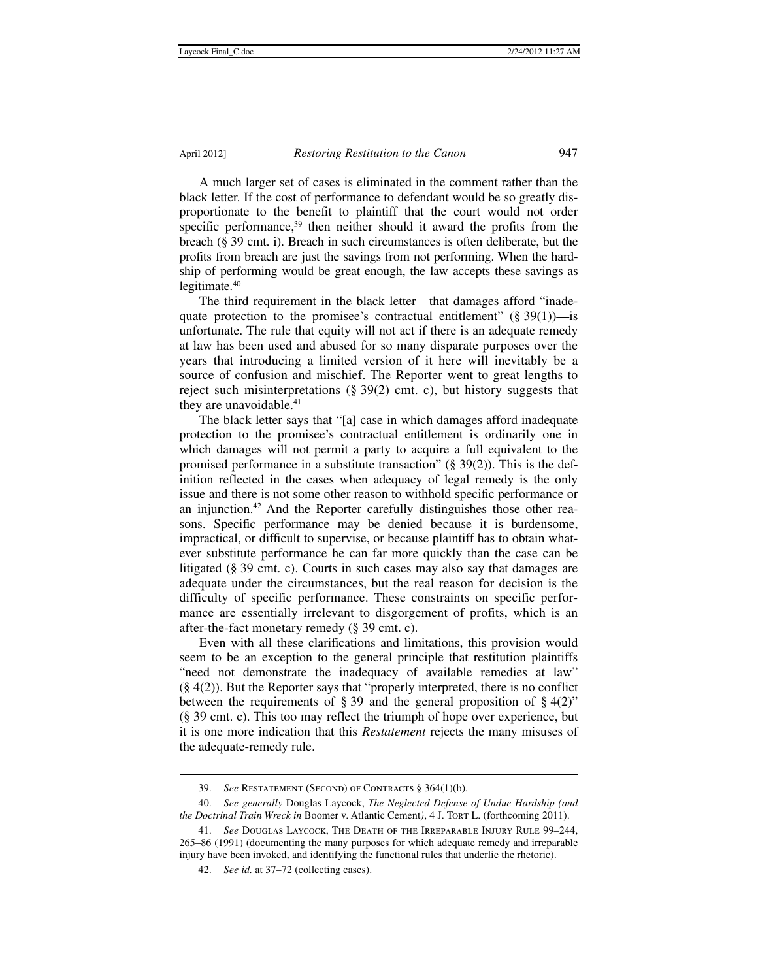A much larger set of cases is eliminated in the comment rather than the black letter. If the cost of performance to defendant would be so greatly disproportionate to the benefit to plaintiff that the court would not order specific performance,<sup>39</sup> then neither should it award the profits from the breach (§ 39 cmt. i). Breach in such circumstances is often deliberate, but the profits from breach are just the savings from not performing. When the hardship of performing would be great enough, the law accepts these savings as legitimate.40

The third requirement in the black letter—that damages afford "inadequate protection to the promisee's contractual entitlement"  $(\S 39(1))$ —is unfortunate. The rule that equity will not act if there is an adequate remedy at law has been used and abused for so many disparate purposes over the years that introducing a limited version of it here will inevitably be a source of confusion and mischief. The Reporter went to great lengths to reject such misinterpretations (§ 39(2) cmt. c), but history suggests that they are unavoidable.<sup>41</sup>

The black letter says that "[a] case in which damages afford inadequate protection to the promisee's contractual entitlement is ordinarily one in which damages will not permit a party to acquire a full equivalent to the promised performance in a substitute transaction" (§ 39(2)). This is the definition reflected in the cases when adequacy of legal remedy is the only issue and there is not some other reason to withhold specific performance or an injunction.42 And the Reporter carefully distinguishes those other reasons. Specific performance may be denied because it is burdensome, impractical, or difficult to supervise, or because plaintiff has to obtain whatever substitute performance he can far more quickly than the case can be litigated (§ 39 cmt. c). Courts in such cases may also say that damages are adequate under the circumstances, but the real reason for decision is the difficulty of specific performance. These constraints on specific performance are essentially irrelevant to disgorgement of profits, which is an after-the-fact monetary remedy (§ 39 cmt. c).

Even with all these clarifications and limitations, this provision would seem to be an exception to the general principle that restitution plaintiffs "need not demonstrate the inadequacy of available remedies at law"  $(\S 4(2))$ . But the Reporter says that "properly interpreted, there is no conflict between the requirements of § 39 and the general proposition of § 4(2)" (§ 39 cmt. c). This too may reflect the triumph of hope over experience, but it is one more indication that this *Restatement* rejects the many misuses of the adequate-remedy rule.

 <sup>39.</sup> *See* Restatement (Second) of Contracts § 364(1)(b).

 <sup>40.</sup> *See generally* Douglas Laycock, *The Neglected Defense of Undue Hardship (and the Doctrinal Train Wreck in* Boomer v. Atlantic Cement*)*, 4 J. Tort L. (forthcoming 2011).

 <sup>41.</sup> *See* Douglas Laycock, The Death of the Irreparable Injury Rule 99–244, 265–86 (1991) (documenting the many purposes for which adequate remedy and irreparable injury have been invoked, and identifying the functional rules that underlie the rhetoric).

 <sup>42.</sup> *See id.* at 37–72 (collecting cases).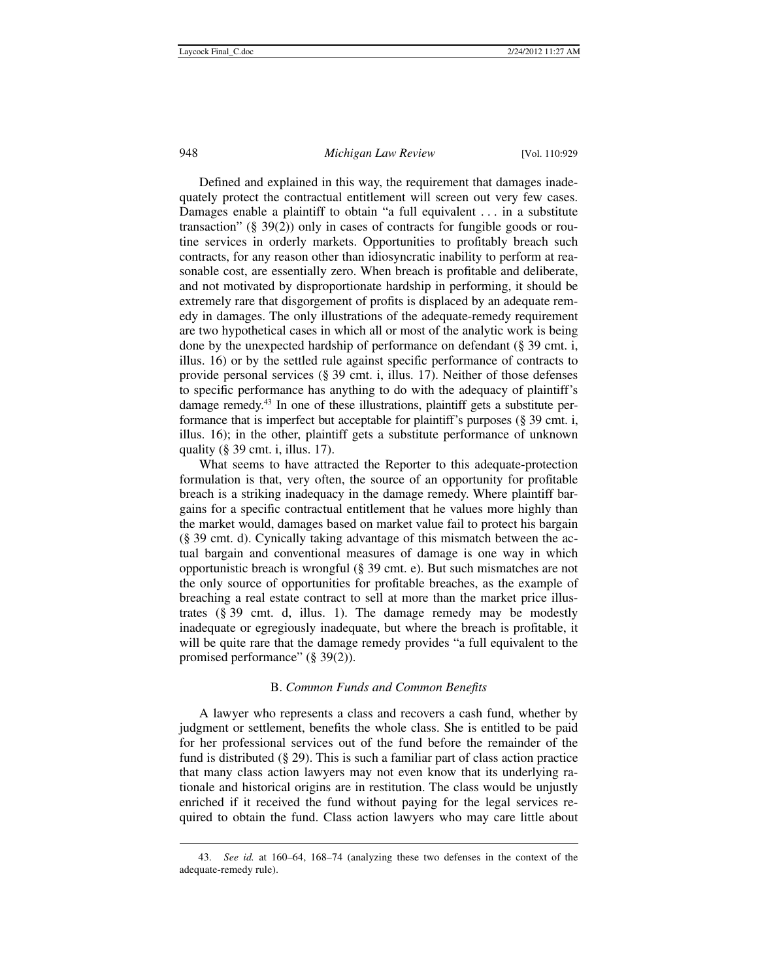### 948 *Michigan Law Review* [Vol. 110:929

Defined and explained in this way, the requirement that damages inadequately protect the contractual entitlement will screen out very few cases. Damages enable a plaintiff to obtain "a full equivalent . . . in a substitute transaction" (§ 39(2)) only in cases of contracts for fungible goods or routine services in orderly markets. Opportunities to profitably breach such contracts, for any reason other than idiosyncratic inability to perform at reasonable cost, are essentially zero. When breach is profitable and deliberate, and not motivated by disproportionate hardship in performing, it should be extremely rare that disgorgement of profits is displaced by an adequate remedy in damages. The only illustrations of the adequate-remedy requirement are two hypothetical cases in which all or most of the analytic work is being done by the unexpected hardship of performance on defendant (§ 39 cmt. i, illus. 16) or by the settled rule against specific performance of contracts to provide personal services (§ 39 cmt. i, illus. 17). Neither of those defenses to specific performance has anything to do with the adequacy of plaintiff's damage remedy.43 In one of these illustrations, plaintiff gets a substitute performance that is imperfect but acceptable for plaintiff's purposes (§ 39 cmt. i, illus. 16); in the other, plaintiff gets a substitute performance of unknown quality  $(\S$  39 cmt. i, illus. 17).

What seems to have attracted the Reporter to this adequate-protection formulation is that, very often, the source of an opportunity for profitable breach is a striking inadequacy in the damage remedy. Where plaintiff bargains for a specific contractual entitlement that he values more highly than the market would, damages based on market value fail to protect his bargain (§ 39 cmt. d). Cynically taking advantage of this mismatch between the actual bargain and conventional measures of damage is one way in which opportunistic breach is wrongful (§ 39 cmt. e). But such mismatches are not the only source of opportunities for profitable breaches, as the example of breaching a real estate contract to sell at more than the market price illustrates (§ 39 cmt. d, illus. 1). The damage remedy may be modestly inadequate or egregiously inadequate, but where the breach is profitable, it will be quite rare that the damage remedy provides "a full equivalent to the promised performance" (§ 39(2)).

### B. *Common Funds and Common Benefits*

A lawyer who represents a class and recovers a cash fund, whether by judgment or settlement, benefits the whole class. She is entitled to be paid for her professional services out of the fund before the remainder of the fund is distributed (§ 29). This is such a familiar part of class action practice that many class action lawyers may not even know that its underlying rationale and historical origins are in restitution. The class would be unjustly enriched if it received the fund without paying for the legal services required to obtain the fund. Class action lawyers who may care little about

 <sup>43.</sup> *See id.* at 160–64, 168–74 (analyzing these two defenses in the context of the adequate-remedy rule).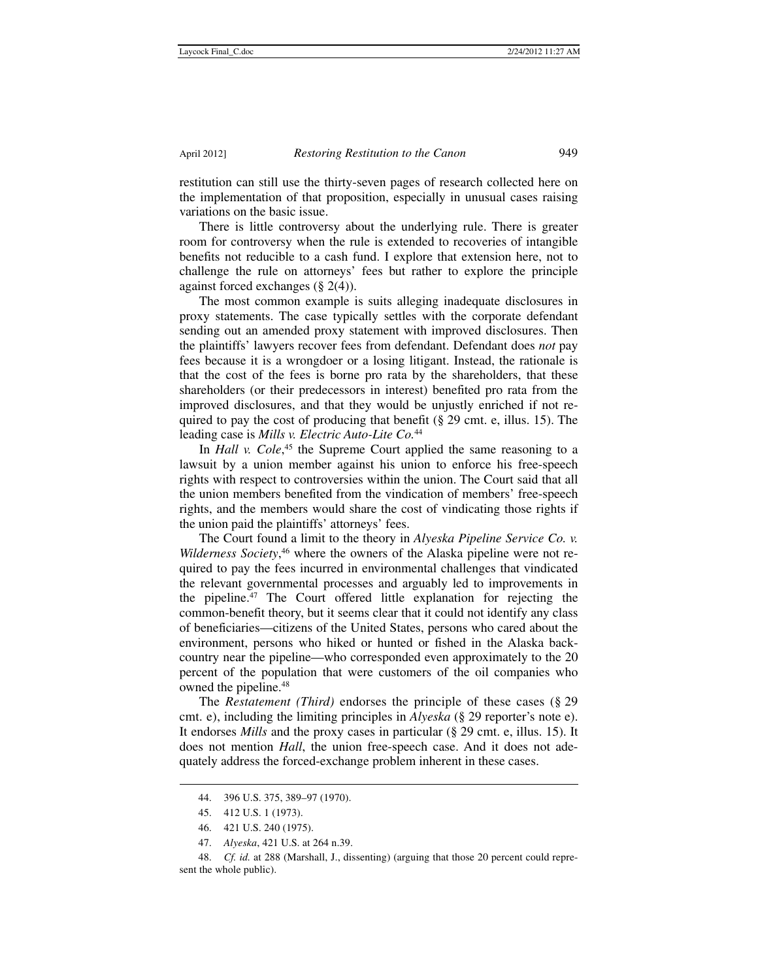restitution can still use the thirty-seven pages of research collected here on the implementation of that proposition, especially in unusual cases raising variations on the basic issue.

There is little controversy about the underlying rule. There is greater room for controversy when the rule is extended to recoveries of intangible benefits not reducible to a cash fund. I explore that extension here, not to challenge the rule on attorneys' fees but rather to explore the principle against forced exchanges (§ 2(4)).

The most common example is suits alleging inadequate disclosures in proxy statements. The case typically settles with the corporate defendant sending out an amended proxy statement with improved disclosures. Then the plaintiffs' lawyers recover fees from defendant. Defendant does *not* pay fees because it is a wrongdoer or a losing litigant. Instead, the rationale is that the cost of the fees is borne pro rata by the shareholders, that these shareholders (or their predecessors in interest) benefited pro rata from the improved disclosures, and that they would be unjustly enriched if not required to pay the cost of producing that benefit ( $\S 29$  cmt. e, illus. 15). The leading case is *Mills v. Electric Auto-Lite Co.*<sup>44</sup>

In *Hall v. Cole*,<sup>45</sup> the Supreme Court applied the same reasoning to a lawsuit by a union member against his union to enforce his free-speech rights with respect to controversies within the union. The Court said that all the union members benefited from the vindication of members' free-speech rights, and the members would share the cost of vindicating those rights if the union paid the plaintiffs' attorneys' fees.

The Court found a limit to the theory in *Alyeska Pipeline Service Co. v. Wilderness Society*, 46 where the owners of the Alaska pipeline were not required to pay the fees incurred in environmental challenges that vindicated the relevant governmental processes and arguably led to improvements in the pipeline.47 The Court offered little explanation for rejecting the common-benefit theory, but it seems clear that it could not identify any class of beneficiaries—citizens of the United States, persons who cared about the environment, persons who hiked or hunted or fished in the Alaska backcountry near the pipeline—who corresponded even approximately to the 20 percent of the population that were customers of the oil companies who owned the pipeline.<sup>48</sup>

The *Restatement (Third)* endorses the principle of these cases (§ 29 cmt. e), including the limiting principles in *Alyeska* (§ 29 reporter's note e). It endorses *Mills* and the proxy cases in particular (§ 29 cmt. e, illus. 15). It does not mention *Hall*, the union free-speech case. And it does not adequately address the forced-exchange problem inherent in these cases.

 <sup>44. 396</sup> U.S. 375, 389–97 (1970).

 <sup>45. 412</sup> U.S. 1 (1973).

 <sup>46. 421</sup> U.S. 240 (1975).

 <sup>47.</sup> *Alyeska*, 421 U.S. at 264 n.39.

 <sup>48.</sup> *Cf. id.* at 288 (Marshall, J., dissenting) (arguing that those 20 percent could represent the whole public).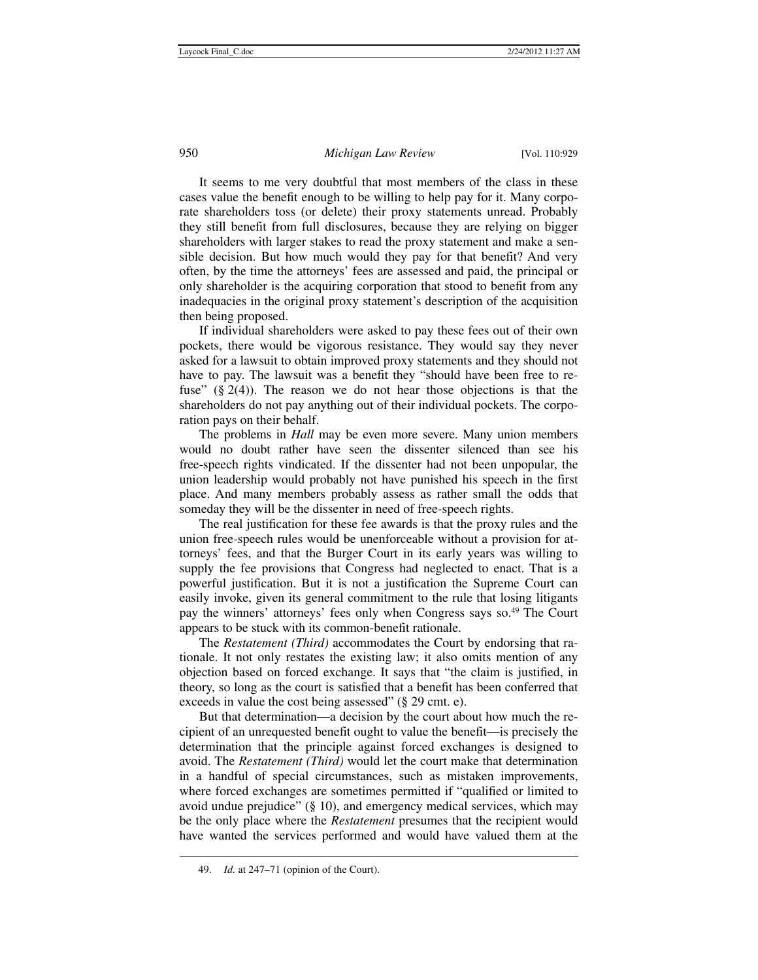It seems to me very doubtful that most members of the class in these cases value the benefit enough to be willing to help pay for it. Many corporate shareholders toss (or delete) their proxy statements unread. Probably they still benefit from full disclosures, because they are relying on bigger shareholders with larger stakes to read the proxy statement and make a sensible decision. But how much would they pay for that benefit? And very often, by the time the attorneys' fees are assessed and paid, the principal or only shareholder is the acquiring corporation that stood to benefit from any inadequacies in the original proxy statement's description of the acquisition then being proposed.

If individual shareholders were asked to pay these fees out of their own pockets, there would be vigorous resistance. They would say they never asked for a lawsuit to obtain improved proxy statements and they should not have to pay. The lawsuit was a benefit they "should have been free to refuse"  $(\S 2(4))$ . The reason we do not hear those objections is that the shareholders do not pay anything out of their individual pockets. The corporation pays on their behalf.

The problems in *Hall* may be even more severe. Many union members would no doubt rather have seen the dissenter silenced than see his free-speech rights vindicated. If the dissenter had not been unpopular, the union leadership would probably not have punished his speech in the first place. And many members probably assess as rather small the odds that someday they will be the dissenter in need of free-speech rights.

The real justification for these fee awards is that the proxy rules and the union free-speech rules would be unenforceable without a provision for attorneys' fees, and that the Burger Court in its early years was willing to supply the fee provisions that Congress had neglected to enact. That is a powerful justification. But it is not a justification the Supreme Court can easily invoke, given its general commitment to the rule that losing litigants pay the winners' attorneys' fees only when Congress says so.<sup>49</sup> The Court appears to be stuck with its common-benefit rationale.

The *Restatement (Third)* accommodates the Court by endorsing that rationale. It not only restates the existing law; it also omits mention of any objection based on forced exchange. It says that "the claim is justified, in theory, so long as the court is satisfied that a benefit has been conferred that exceeds in value the cost being assessed" (§ 29 cmt. e).

But that determination—a decision by the court about how much the recipient of an unrequested benefit ought to value the benefit—is precisely the determination that the principle against forced exchanges is designed to avoid. The *Restatement (Third)* would let the court make that determination in a handful of special circumstances, such as mistaken improvements, where forced exchanges are sometimes permitted if "qualified or limited to avoid undue prejudice" (§ 10), and emergency medical services, which may be the only place where the *Restatement* presumes that the recipient would have wanted the services performed and would have valued them at the

 <sup>49.</sup> *Id.* at 247–71 (opinion of the Court).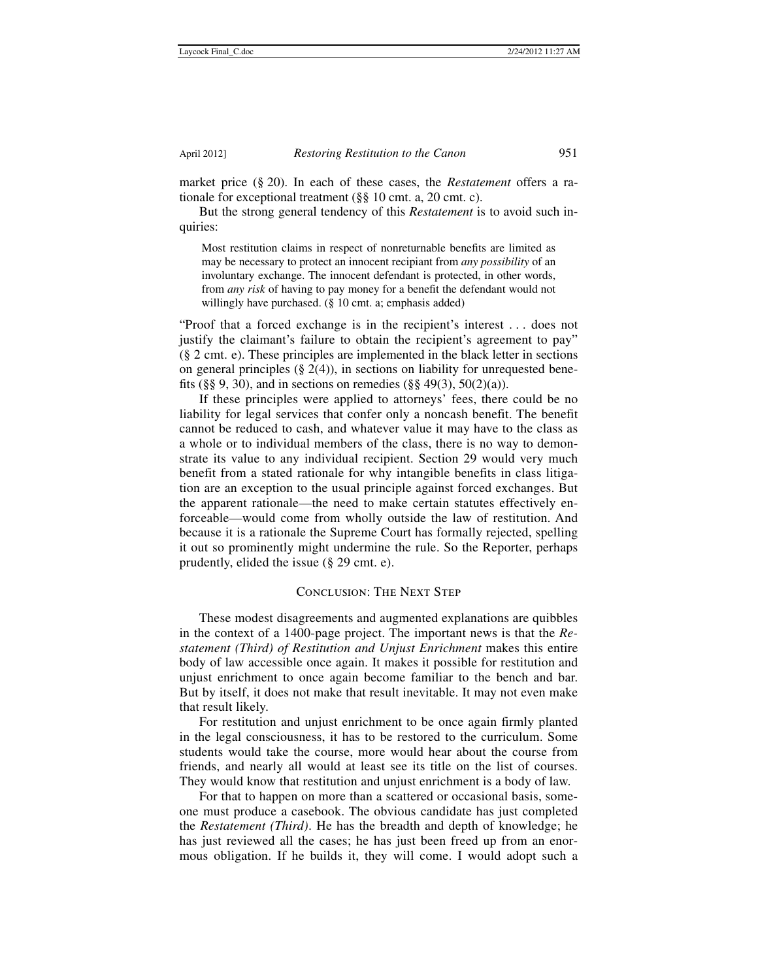market price (§ 20). In each of these cases, the *Restatement* offers a rationale for exceptional treatment (§§ 10 cmt. a, 20 cmt. c).

But the strong general tendency of this *Restatement* is to avoid such inquiries:

Most restitution claims in respect of nonreturnable benefits are limited as may be necessary to protect an innocent recipiant from *any possibility* of an involuntary exchange. The innocent defendant is protected, in other words, from *any risk* of having to pay money for a benefit the defendant would not willingly have purchased. (§ 10 cmt. a; emphasis added)

"Proof that a forced exchange is in the recipient's interest . . . does not justify the claimant's failure to obtain the recipient's agreement to pay" (§ 2 cmt. e). These principles are implemented in the black letter in sections on general principles  $(\S$  2(4)), in sections on liability for unrequested benefits (§§ 9, 30), and in sections on remedies (§§ 49(3), 50(2)(a)).

If these principles were applied to attorneys' fees, there could be no liability for legal services that confer only a noncash benefit. The benefit cannot be reduced to cash, and whatever value it may have to the class as a whole or to individual members of the class, there is no way to demonstrate its value to any individual recipient. Section 29 would very much benefit from a stated rationale for why intangible benefits in class litigation are an exception to the usual principle against forced exchanges. But the apparent rationale—the need to make certain statutes effectively enforceable—would come from wholly outside the law of restitution. And because it is a rationale the Supreme Court has formally rejected, spelling it out so prominently might undermine the rule. So the Reporter, perhaps prudently, elided the issue (§ 29 cmt. e).

#### Conclusion: The Next Step

These modest disagreements and augmented explanations are quibbles in the context of a 1400-page project. The important news is that the *Restatement (Third) of Restitution and Unjust Enrichment* makes this entire body of law accessible once again. It makes it possible for restitution and unjust enrichment to once again become familiar to the bench and bar. But by itself, it does not make that result inevitable. It may not even make that result likely.

For restitution and unjust enrichment to be once again firmly planted in the legal consciousness, it has to be restored to the curriculum. Some students would take the course, more would hear about the course from friends, and nearly all would at least see its title on the list of courses. They would know that restitution and unjust enrichment is a body of law.

For that to happen on more than a scattered or occasional basis, someone must produce a casebook. The obvious candidate has just completed the *Restatement (Third)*. He has the breadth and depth of knowledge; he has just reviewed all the cases; he has just been freed up from an enormous obligation. If he builds it, they will come. I would adopt such a